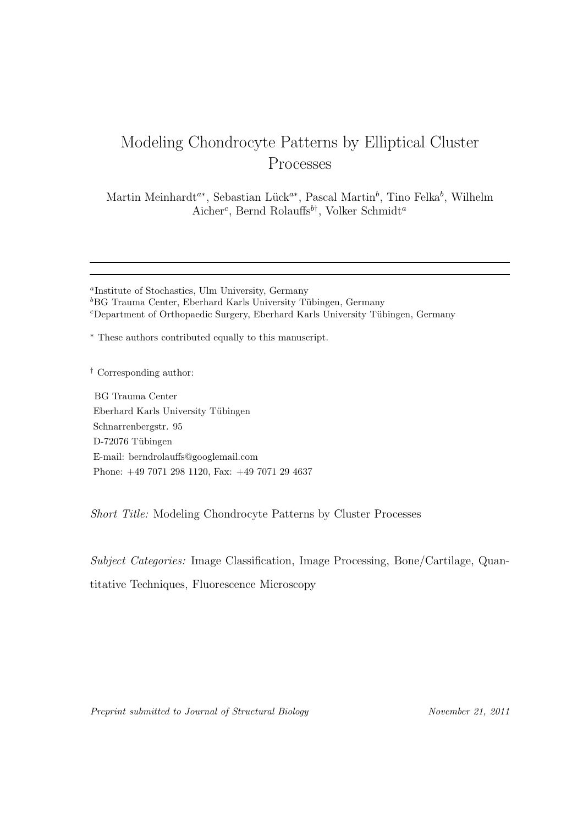# Modeling Chondrocyte Patterns by Elliptical Cluster Processes

Martin Meinhardt<sup>a∗</sup>, Sebastian Lück<sup>a∗</sup>, Pascal Martin<sup>b</sup>, Tino Felka<sup>b</sup>, Wilhelm Aicher<sup>c</sup>, Bernd Rolauffs<sup>b†</sup>, Volker Schmidt<sup>a</sup>

<sup>∗</sup> These authors contributed equally to this manuscript.

† Corresponding author:

BG Trauma Center Eberhard Karls University Tübingen Schnarrenbergstr. 95 D-72076 Tübingen E-mail: berndrolauffs@googlemail.com Phone: +49 7071 298 1120, Fax: +49 7071 29 4637

Short Title: Modeling Chondrocyte Patterns by Cluster Processes

Subject Categories: Image Classification, Image Processing, Bone/Cartilage, Quantitative Techniques, Fluorescence Microscopy

Preprint submitted to Journal of Structural Biology November 21, 2011

a Institute of Stochastics, Ulm University, Germany  ${}^{b}$ BG Trauma Center, Eberhard Karls University Tübingen, Germany  $c$ Department of Orthopaedic Surgery, Eberhard Karls University Tübingen, Germany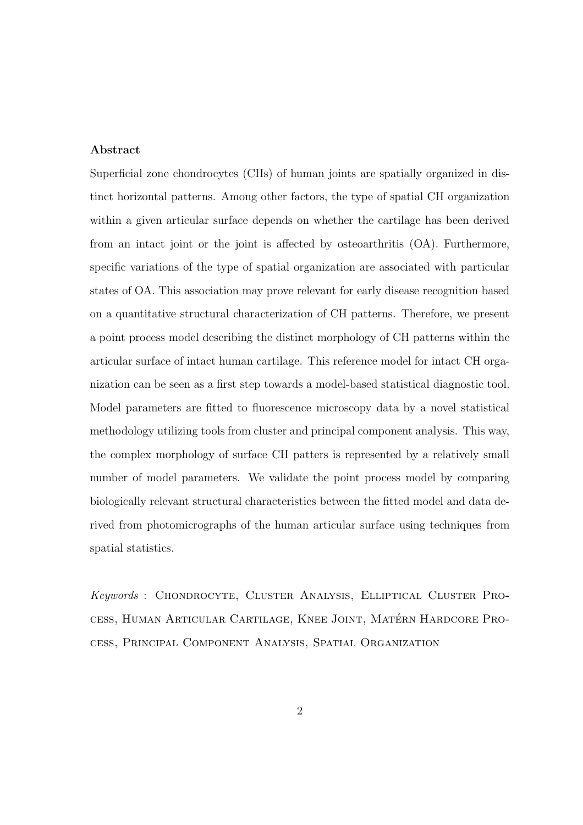## Abstract

Superficial zone chondrocytes (CHs) of human joints are spatially organized in distinct horizontal patterns. Among other factors, the type of spatial CH organization within a given articular surface depends on whether the cartilage has been derived from an intact joint or the joint is affected by osteoarthritis (OA). Furthermore, specific variations of the type of spatial organization are associated with particular states of OA. This association may prove relevant for early disease recognition based on a quantitative structural characterization of CH patterns. Therefore, we present a point process model describing the distinct morphology of CH patterns within the articular surface of intact human cartilage. This reference model for intact CH organization can be seen as a first step towards a model-based statistical diagnostic tool. Model parameters are fitted to fluorescence microscopy data by a novel statistical methodology utilizing tools from cluster and principal component analysis. This way, the complex morphology of surface CH patters is represented by a relatively small number of model parameters. We validate the point process model by comparing biologically relevant structural characteristics between the fitted model and data derived from photomicrographs of the human articular surface using techniques from spatial statistics.

Keywords : Chondrocyte, Cluster Analysis, Elliptical Cluster Process, Human Articular Cartilage, Knee Joint, Matérn Hardcore Process, Principal Component Analysis, Spatial Organization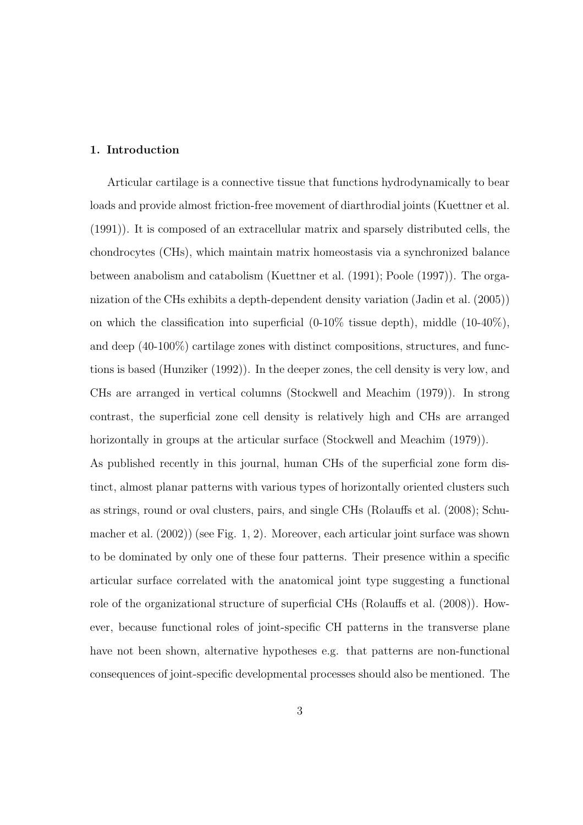#### 1. Introduction

Articular cartilage is a connective tissue that functions hydrodynamically to bear loads and provide almost friction-free movement of diarthrodial joints (Kuettner et al. (1991)). It is composed of an extracellular matrix and sparsely distributed cells, the chondrocytes (CHs), which maintain matrix homeostasis via a synchronized balance between anabolism and catabolism (Kuettner et al. (1991); Poole (1997)). The organization of the CHs exhibits a depth-dependent density variation (Jadin et al. (2005)) on which the classification into superficial  $(0-10\%$  tissue depth), middle  $(10-40\%)$ , and deep (40-100%) cartilage zones with distinct compositions, structures, and functions is based (Hunziker (1992)). In the deeper zones, the cell density is very low, and CHs are arranged in vertical columns (Stockwell and Meachim (1979)). In strong contrast, the superficial zone cell density is relatively high and CHs are arranged horizontally in groups at the articular surface (Stockwell and Meachim (1979)). As published recently in this journal, human CHs of the superficial zone form distinct, almost planar patterns with various types of horizontally oriented clusters such as strings, round or oval clusters, pairs, and single CHs (Rolauffs et al. (2008); Schumacher et al. (2002)) (see Fig. 1, 2). Moreover, each articular joint surface was shown to be dominated by only one of these four patterns. Their presence within a specific articular surface correlated with the anatomical joint type suggesting a functional role of the organizational structure of superficial CHs (Rolauffs et al. (2008)). However, because functional roles of joint-specific CH patterns in the transverse plane have not been shown, alternative hypotheses e.g. that patterns are non-functional consequences of joint-specific developmental processes should also be mentioned. The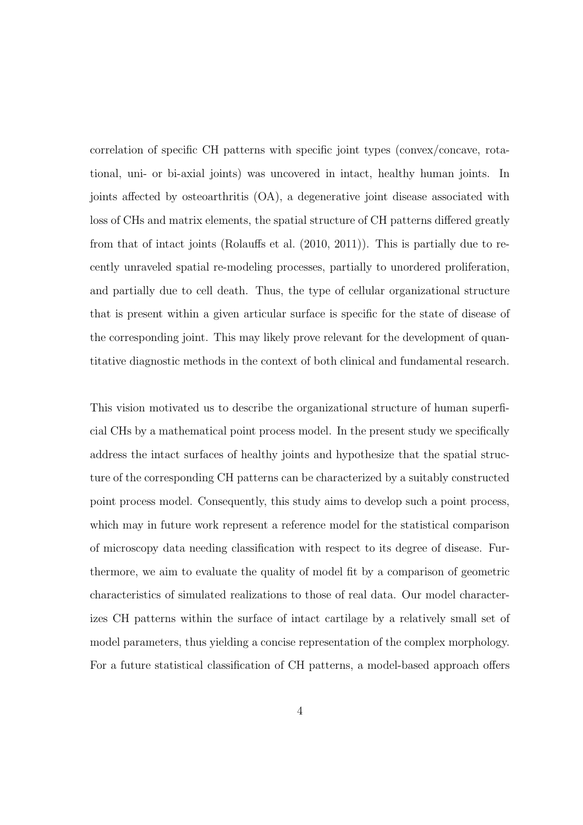correlation of specific CH patterns with specific joint types (convex/concave, rotational, uni- or bi-axial joints) was uncovered in intact, healthy human joints. In joints affected by osteoarthritis (OA), a degenerative joint disease associated with loss of CHs and matrix elements, the spatial structure of CH patterns differed greatly from that of intact joints (Rolauffs et al. (2010, 2011)). This is partially due to recently unraveled spatial re-modeling processes, partially to unordered proliferation, and partially due to cell death. Thus, the type of cellular organizational structure that is present within a given articular surface is specific for the state of disease of the corresponding joint. This may likely prove relevant for the development of quantitative diagnostic methods in the context of both clinical and fundamental research.

This vision motivated us to describe the organizational structure of human superficial CHs by a mathematical point process model. In the present study we specifically address the intact surfaces of healthy joints and hypothesize that the spatial structure of the corresponding CH patterns can be characterized by a suitably constructed point process model. Consequently, this study aims to develop such a point process, which may in future work represent a reference model for the statistical comparison of microscopy data needing classification with respect to its degree of disease. Furthermore, we aim to evaluate the quality of model fit by a comparison of geometric characteristics of simulated realizations to those of real data. Our model characterizes CH patterns within the surface of intact cartilage by a relatively small set of model parameters, thus yielding a concise representation of the complex morphology. For a future statistical classification of CH patterns, a model-based approach offers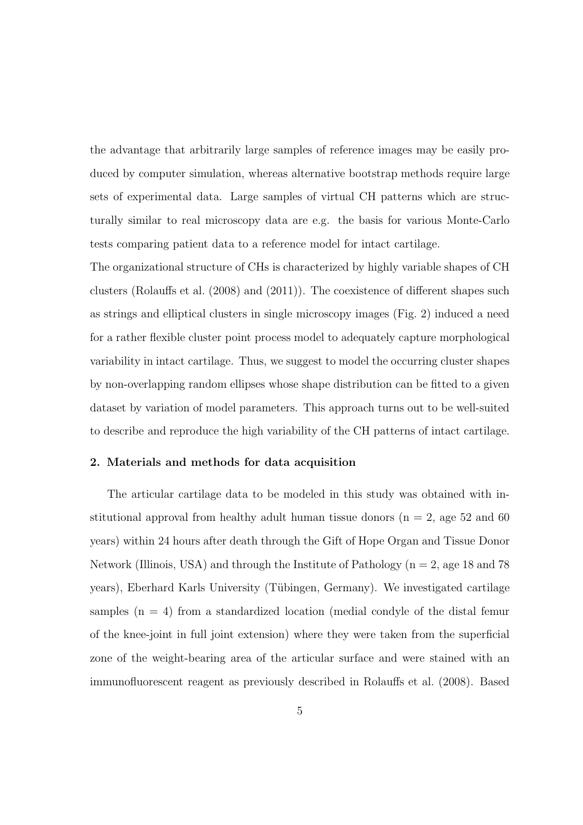the advantage that arbitrarily large samples of reference images may be easily produced by computer simulation, whereas alternative bootstrap methods require large sets of experimental data. Large samples of virtual CH patterns which are structurally similar to real microscopy data are e.g. the basis for various Monte-Carlo tests comparing patient data to a reference model for intact cartilage.

The organizational structure of CHs is characterized by highly variable shapes of CH clusters (Rolauffs et al. (2008) and (2011)). The coexistence of different shapes such as strings and elliptical clusters in single microscopy images (Fig. 2) induced a need for a rather flexible cluster point process model to adequately capture morphological variability in intact cartilage. Thus, we suggest to model the occurring cluster shapes by non-overlapping random ellipses whose shape distribution can be fitted to a given dataset by variation of model parameters. This approach turns out to be well-suited to describe and reproduce the high variability of the CH patterns of intact cartilage.

## 2. Materials and methods for data acquisition

The articular cartilage data to be modeled in this study was obtained with institutional approval from healthy adult human tissue donors ( $n = 2$ , age 52 and 60 years) within 24 hours after death through the Gift of Hope Organ and Tissue Donor Network (Illinois, USA) and through the Institute of Pathology ( $n = 2$ , age 18 and 78 years), Eberhard Karls University (T¨ubingen, Germany). We investigated cartilage samples  $(n = 4)$  from a standardized location (medial condyle of the distal femur of the knee-joint in full joint extension) where they were taken from the superficial zone of the weight-bearing area of the articular surface and were stained with an immunofluorescent reagent as previously described in Rolauffs et al. (2008). Based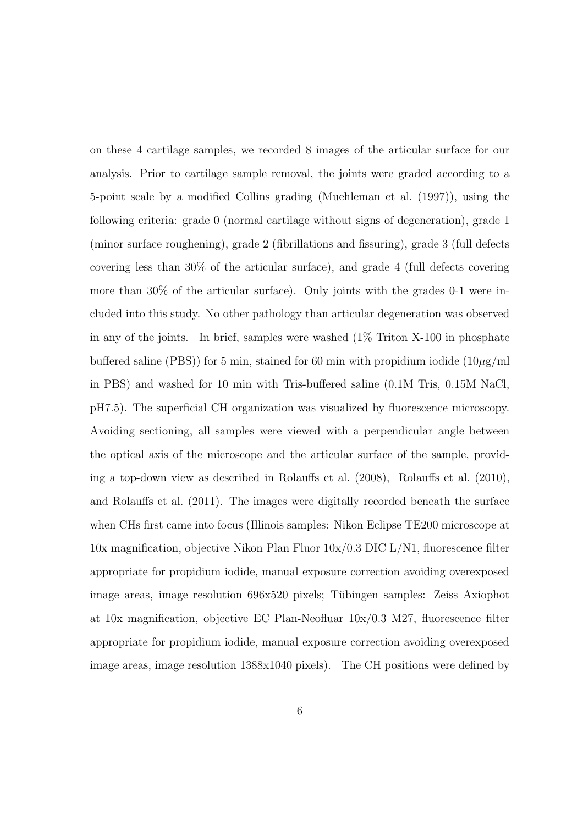on these 4 cartilage samples, we recorded 8 images of the articular surface for our analysis. Prior to cartilage sample removal, the joints were graded according to a 5-point scale by a modified Collins grading (Muehleman et al. (1997)), using the following criteria: grade 0 (normal cartilage without signs of degeneration), grade 1 (minor surface roughening), grade 2 (fibrillations and fissuring), grade 3 (full defects covering less than 30% of the articular surface), and grade 4 (full defects covering more than 30% of the articular surface). Only joints with the grades 0-1 were included into this study. No other pathology than articular degeneration was observed in any of the joints. In brief, samples were washed (1% Triton X-100 in phosphate buffered saline (PBS)) for 5 min, stained for 60 min with propidium iodide  $(10\mu g/ml)$ in PBS) and washed for 10 min with Tris-buffered saline (0.1M Tris, 0.15M NaCl, pH7.5). The superficial CH organization was visualized by fluorescence microscopy. Avoiding sectioning, all samples were viewed with a perpendicular angle between the optical axis of the microscope and the articular surface of the sample, providing a top-down view as described in Rolauffs et al. (2008), Rolauffs et al. (2010), and Rolauffs et al. (2011). The images were digitally recorded beneath the surface when CHs first came into focus (Illinois samples: Nikon Eclipse TE200 microscope at 10x magnification, objective Nikon Plan Fluor 10x/0.3 DIC L/N1, fluorescence filter appropriate for propidium iodide, manual exposure correction avoiding overexposed image areas, image resolution 696x520 pixels; Tübingen samples: Zeiss Axiophot at  $10x$  magnification, objective EC Plan-Neofluar  $10x/0.3$  M27, fluorescence filter appropriate for propidium iodide, manual exposure correction avoiding overexposed image areas, image resolution 1388x1040 pixels). The CH positions were defined by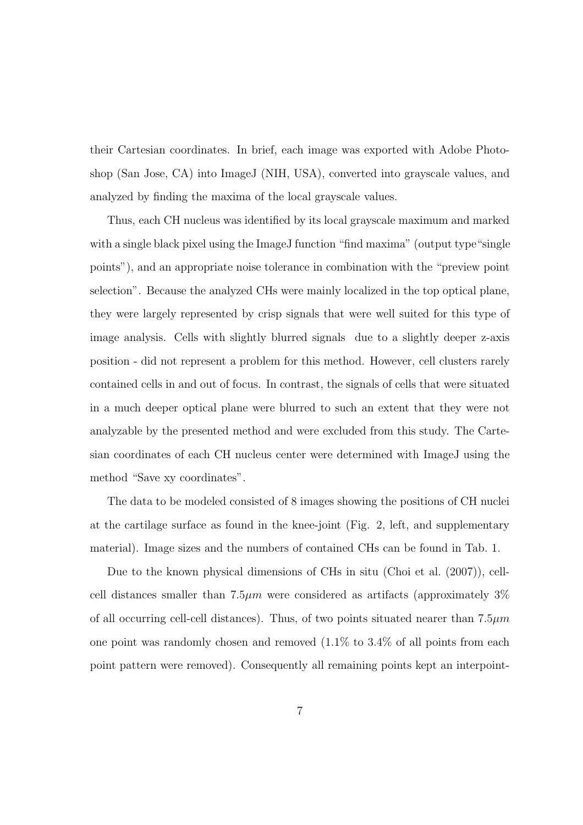their Cartesian coordinates. In brief, each image was exported with Adobe Photoshop (San Jose, CA) into ImageJ (NIH, USA), converted into grayscale values, and analyzed by finding the maxima of the local grayscale values.

Thus, each CH nucleus was identified by its local grayscale maximum and marked with a single black pixel using the ImageJ function "find maxima" (output type "single") points"), and an appropriate noise tolerance in combination with the "preview point selection". Because the analyzed CHs were mainly localized in the top optical plane, they were largely represented by crisp signals that were well suited for this type of image analysis. Cells with slightly blurred signals due to a slightly deeper z-axis position - did not represent a problem for this method. However, cell clusters rarely contained cells in and out of focus. In contrast, the signals of cells that were situated in a much deeper optical plane were blurred to such an extent that they were not analyzable by the presented method and were excluded from this study. The Cartesian coordinates of each CH nucleus center were determined with ImageJ using the method "Save xy coordinates".

The data to be modeled consisted of 8 images showing the positions of CH nuclei at the cartilage surface as found in the knee-joint (Fig. 2, left, and supplementary material). Image sizes and the numbers of contained CHs can be found in Tab. 1.

Due to the known physical dimensions of CHs in situ (Choi et al. (2007)), cellcell distances smaller than  $7.5\mu m$  were considered as artifacts (approximately  $3\%$ of all occurring cell-cell distances). Thus, of two points situated nearer than  $7.5\mu m$ one point was randomly chosen and removed  $(1.1\%$  to  $3.4\%$  of all points from each point pattern were removed). Consequently all remaining points kept an interpoint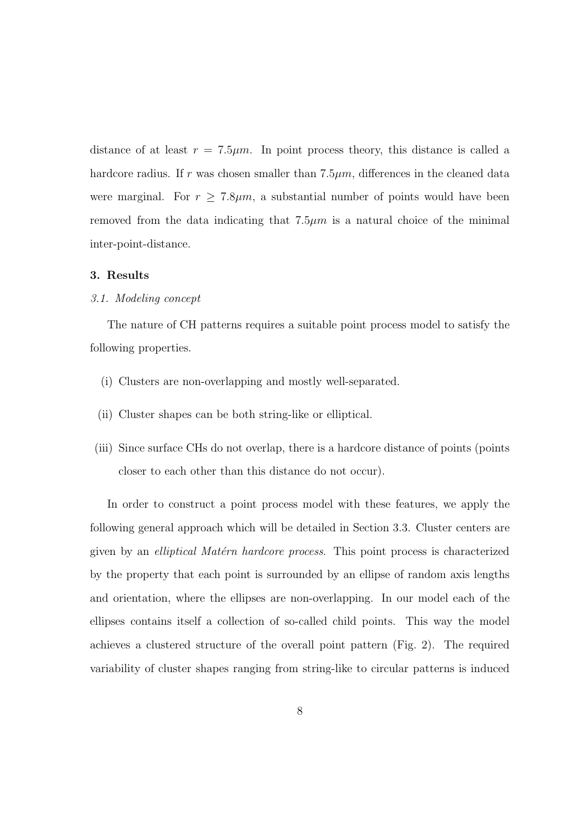distance of at least  $r = 7.5 \mu m$ . In point process theory, this distance is called a hardcore radius. If r was chosen smaller than  $7.5\mu m$ , differences in the cleaned data were marginal. For  $r \geq 7.8 \mu m$ , a substantial number of points would have been removed from the data indicating that  $7.5\mu m$  is a natural choice of the minimal inter-point-distance.

## 3. Results

## 3.1. Modeling concept

The nature of CH patterns requires a suitable point process model to satisfy the following properties.

- (i) Clusters are non-overlapping and mostly well-separated.
- (ii) Cluster shapes can be both string-like or elliptical.
- (iii) Since surface CHs do not overlap, there is a hardcore distance of points (points closer to each other than this distance do not occur).

In order to construct a point process model with these features, we apply the following general approach which will be detailed in Section 3.3. Cluster centers are given by an *elliptical Matérn hardcore process*. This point process is characterized by the property that each point is surrounded by an ellipse of random axis lengths and orientation, where the ellipses are non-overlapping. In our model each of the ellipses contains itself a collection of so-called child points. This way the model achieves a clustered structure of the overall point pattern (Fig. 2). The required variability of cluster shapes ranging from string-like to circular patterns is induced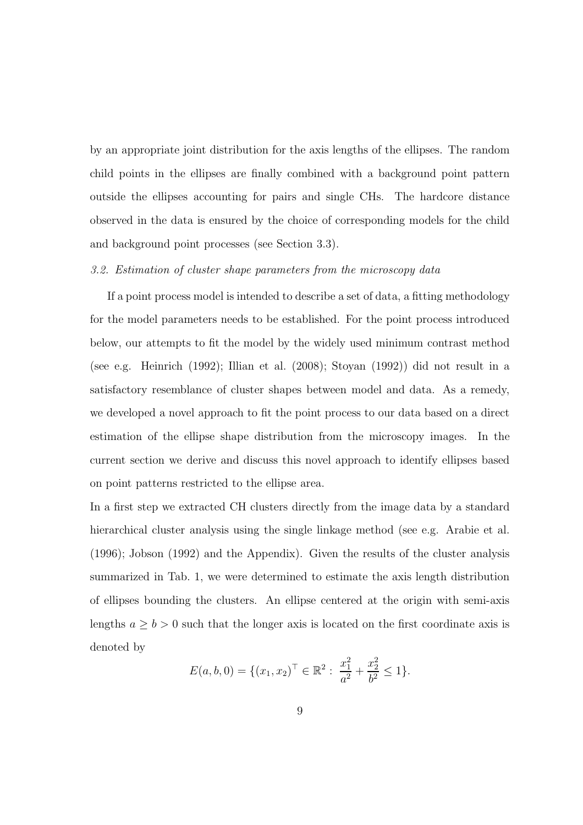by an appropriate joint distribution for the axis lengths of the ellipses. The random child points in the ellipses are finally combined with a background point pattern outside the ellipses accounting for pairs and single CHs. The hardcore distance observed in the data is ensured by the choice of corresponding models for the child and background point processes (see Section 3.3).

## 3.2. Estimation of cluster shape parameters from the microscopy data

If a point process model is intended to describe a set of data, a fitting methodology for the model parameters needs to be established. For the point process introduced below, our attempts to fit the model by the widely used minimum contrast method (see e.g. Heinrich (1992); Illian et al. (2008); Stoyan (1992)) did not result in a satisfactory resemblance of cluster shapes between model and data. As a remedy, we developed a novel approach to fit the point process to our data based on a direct estimation of the ellipse shape distribution from the microscopy images. In the current section we derive and discuss this novel approach to identify ellipses based on point patterns restricted to the ellipse area.

In a first step we extracted CH clusters directly from the image data by a standard hierarchical cluster analysis using the single linkage method (see e.g. Arabie et al. (1996); Jobson (1992) and the Appendix). Given the results of the cluster analysis summarized in Tab. 1, we were determined to estimate the axis length distribution of ellipses bounding the clusters. An ellipse centered at the origin with semi-axis lengths  $a \ge b > 0$  such that the longer axis is located on the first coordinate axis is denoted by

$$
E(a, b, 0) = \{(x_1, x_2)^\top \in \mathbb{R}^2 : \frac{x_1^2}{a^2} + \frac{x_2^2}{b^2} \le 1\}.
$$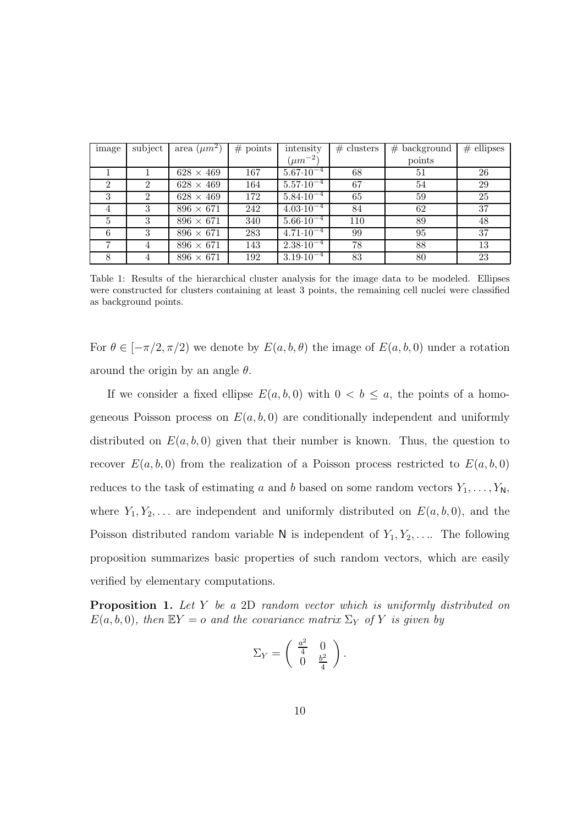| image          | subject        | area $(\mu m^2)$ | # points | intensity                       | $#$ clusters | $#$ background | $#$ ellipses |
|----------------|----------------|------------------|----------|---------------------------------|--------------|----------------|--------------|
|                |                |                  |          | $(\mu m^{-2})$                  |              | points         |              |
|                |                | $628 \times 469$ | 167      | $5.67 \cdot 10^{-4}$            | 68           | 51             | 26           |
| $\mathfrak{D}$ | 2              | $628 \times 469$ | 164      | $5.57 \cdot 10^{-4}$            | 67           | 54             | 29           |
| 3              | $\overline{2}$ | $628 \times 469$ | 172      | $5.84 \cdot \overline{10^{-4}}$ | 65           | 59             | 25           |
| 4              | 3              | $896 \times 671$ | 242      | $4.03 \cdot 10^{-4}$            | 84           | 62             | 37           |
| 5              | 3              | $896 \times 671$ | 340      | $5.66 \cdot \overline{10^{-4}}$ | 110          | 89             | 48           |
| 6              | 3              | $896 \times 671$ | 283      | $4.71 \cdot 10^{-4}$            | 99           | 95             | 37           |
|                | 4              | $896 \times 671$ | 143      | $2.38 \cdot \overline{10^{-4}}$ | 78           | 88             | 13           |
|                |                | $896 \times 671$ | 192      | $3.19 \cdot 10^{-4}$            | 83           | 80             | 23           |

Table 1: Results of the hierarchical cluster analysis for the image data to be modeled. Ellipses were constructed for clusters containing at least 3 points, the remaining cell nuclei were classified as background points.

For  $\theta \in [-\pi/2, \pi/2]$  we denote by  $E(a, b, \theta)$  the image of  $E(a, b, 0)$  under a rotation around the origin by an angle  $\theta$ .

If we consider a fixed ellipse  $E(a, b, 0)$  with  $0 < b \le a$ , the points of a homogeneous Poisson process on  $E(a, b, 0)$  are conditionally independent and uniformly distributed on  $E(a, b, 0)$  given that their number is known. Thus, the question to recover  $E(a, b, 0)$  from the realization of a Poisson process restricted to  $E(a, b, 0)$ reduces to the task of estimating a and b based on some random vectors  $Y_1, \ldots, Y_N$ , where  $Y_1, Y_2, \ldots$  are independent and uniformly distributed on  $E(a, b, 0)$ , and the Poisson distributed random variable  $N$  is independent of  $Y_1, Y_2, \ldots$ . The following proposition summarizes basic properties of such random vectors, which are easily verified by elementary computations.

Proposition 1. Let Y be a 2D random vector which is uniformly distributed on  $E(a, b, 0)$ , then  $EY = o$  and the covariance matrix  $\Sigma_Y$  of Y is given by

$$
\Sigma_Y = \left( \begin{array}{cc} \frac{a^2}{4} & 0 \\ 0 & \frac{b^2}{4} \end{array} \right).
$$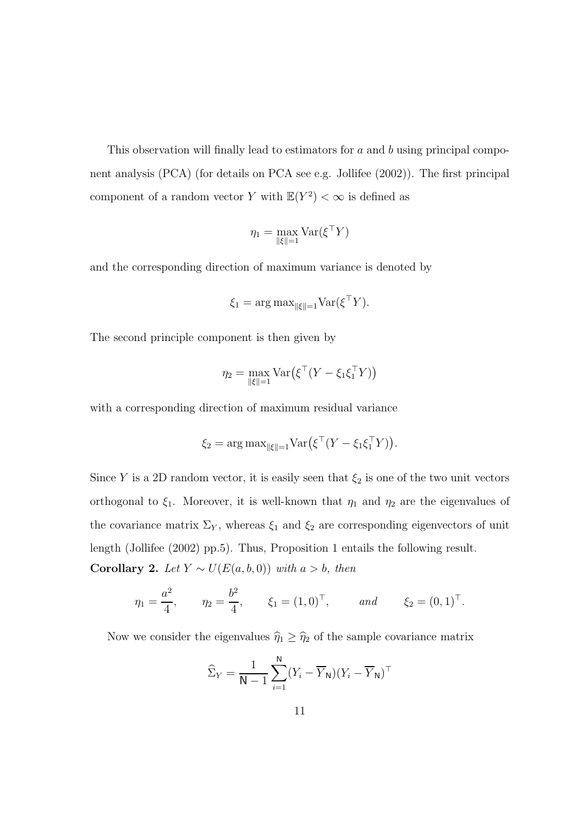This observation will finally lead to estimators for a and b using principal component analysis (PCA) (for details on PCA see e.g. Jollifee (2002)). The first principal component of a random vector Y with  $\mathbb{E}(Y^2) < \infty$  is defined as

$$
\eta_1 = \max_{\|\xi\|=1} \text{Var}(\xi^\top Y)
$$

and the corresponding direction of maximum variance is denoted by

$$
\xi_1 = \arg \max_{\|\xi\|=1} \text{Var}(\xi^\top Y).
$$

The second principle component is then given by

$$
\eta_2 = \max_{\|\xi\|=1} \text{Var}\big(\xi^\top (Y - \xi_1 \xi_1^\top Y)\big)
$$

with a corresponding direction of maximum residual variance

$$
\xi_2 = \arg \max_{\|\xi\|=1} \text{Var}(\xi^\top (Y - \xi_1 \xi_1^\top Y)).
$$

Since Y is a 2D random vector, it is easily seen that  $\xi_2$  is one of the two unit vectors orthogonal to  $\xi_1$ . Moreover, it is well-known that  $\eta_1$  and  $\eta_2$  are the eigenvalues of the covariance matrix  $\Sigma_Y$ , whereas  $\xi_1$  and  $\xi_2$  are corresponding eigenvectors of unit length (Jollifee (2002) pp.5). Thus, Proposition 1 entails the following result. Corollary 2. Let  $Y \sim U(E(a, b, 0))$  with  $a > b$ , then

$$
\eta_1 = \frac{a^2}{4}, \qquad \eta_2 = \frac{b^2}{4}, \qquad \xi_1 = (1, 0)^\top, \qquad \text{and} \qquad \xi_2 = (0, 1)^\top.
$$

Now we consider the eigenvalues  $\hat{\eta}_1 \geq \hat{\eta}_2$  of the sample covariance matrix

$$
\widehat{\Sigma}_Y = \frac{1}{\mathsf{N}-1}\sum_{i=1}^{\mathsf{N}} (Y_i - \overline{Y}_{\mathsf{N}})(Y_i - \overline{Y}_{\mathsf{N}})^{\top}
$$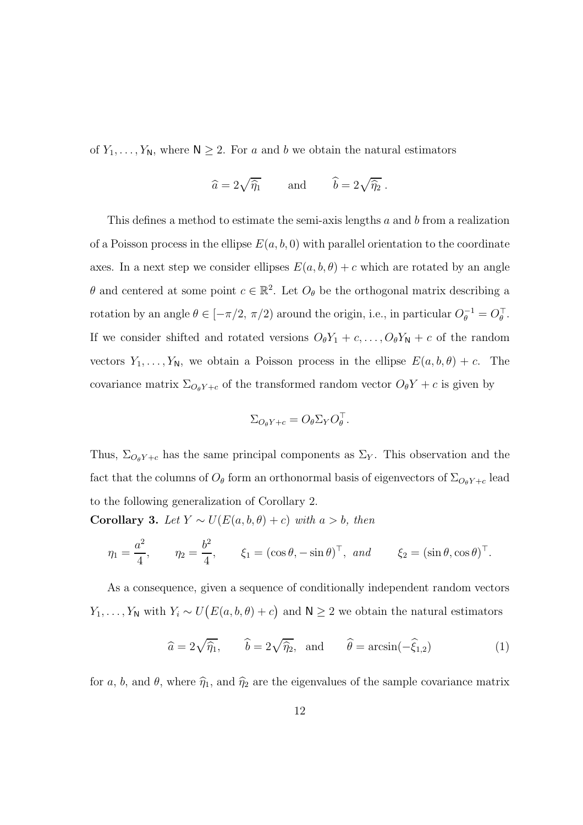of  $Y_1, \ldots, Y_N$ , where  $N \geq 2$ . For a and b we obtain the natural estimators

$$
\widehat{a} = 2\sqrt{\widehat{\eta}_1}
$$
 and  $\widehat{b} = 2\sqrt{\widehat{\eta}_2}$ .

This defines a method to estimate the semi-axis lengths a and b from a realization of a Poisson process in the ellipse  $E(a, b, 0)$  with parallel orientation to the coordinate axes. In a next step we consider ellipses  $E(a, b, \theta) + c$  which are rotated by an angle  $\theta$  and centered at some point  $c \in \mathbb{R}^2$ . Let  $O_\theta$  be the orthogonal matrix describing a rotation by an angle  $\theta \in [-\pi/2, \pi/2)$  around the origin, i.e., in particular  $O_{\theta}^{-1} = O_{\theta}^{-1}$ . If we consider shifted and rotated versions  $O_{\theta}Y_1 + c, \ldots, O_{\theta}Y_N + c$  of the random vectors  $Y_1, \ldots, Y_N$ , we obtain a Poisson process in the ellipse  $E(a, b, \theta) + c$ . The covariance matrix  $\Sigma_{O_{\theta}Y+c}$  of the transformed random vector  $O_{\theta}Y+c$  is given by

$$
\Sigma_{O_{\theta}Y+c} = O_{\theta} \Sigma_Y O_{\theta}^{\top}.
$$

Thus,  $\Sigma_{O_{\theta}Y+c}$  has the same principal components as  $\Sigma_{Y}$ . This observation and the fact that the columns of  $O_\theta$  form an orthonormal basis of eigenvectors of  $\Sigma_{O_\theta Y+c}$  lead to the following generalization of Corollary 2.

Corollary 3. Let  $Y \sim U(E(a, b, \theta) + c)$  with a > b, then

$$
\eta_1 = \frac{a^2}{4}, \qquad \eta_2 = \frac{b^2}{4}, \qquad \xi_1 = (\cos \theta, -\sin \theta)^\top, \text{ and } \qquad \xi_2 = (\sin \theta, \cos \theta)^\top.
$$

As a consequence, given a sequence of conditionally independent random vectors  $Y_1, \ldots, Y_N$  with  $Y_i \sim U(E(a, b, \theta) + c)$  and  $N \geq 2$  we obtain the natural estimators

$$
\hat{a} = 2\sqrt{\hat{\eta}_1}, \qquad \hat{b} = 2\sqrt{\hat{\eta}_2}, \text{ and } \qquad \hat{\theta} = \arcsin(-\hat{\xi}_{1,2})
$$
\n(1)

for a, b, and  $\theta$ , where  $\hat{\eta}_1$ , and  $\hat{\eta}_2$  are the eigenvalues of the sample covariance matrix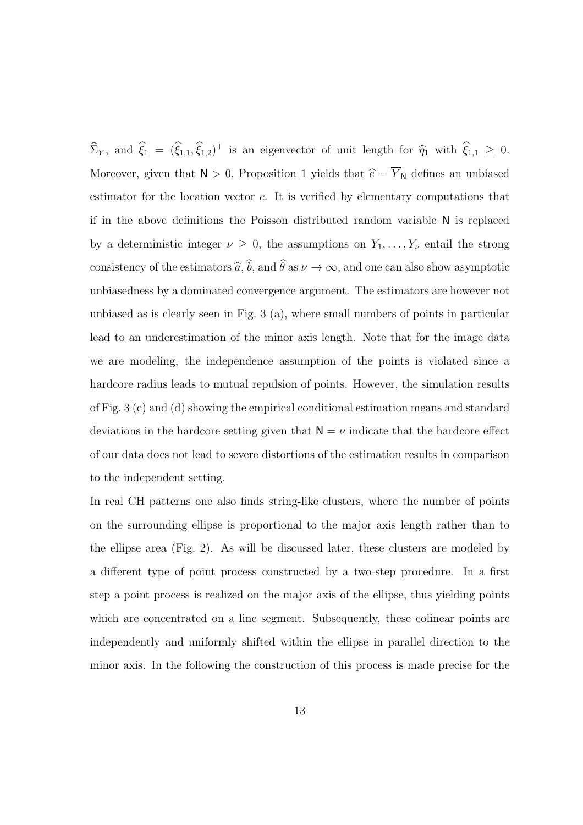$\Sigma_Y$ , and  $\xi_1 = (\xi_{1,1}, \xi_{1,2})^\top$  is an eigenvector of unit length for  $\hat{\eta}_1$  with  $\xi_{1,1} \geq 0$ . Moreover, given that  $N > 0$ , Proposition 1 yields that  $\hat{c} = \overline{Y}_{N}$  defines an unbiased estimator for the location vector c. It is verified by elementary computations that if in the above definitions the Poisson distributed random variable N is replaced by a deterministic integer  $\nu \geq 0$ , the assumptions on  $Y_1, \ldots, Y_{\nu}$  entail the strong consistency of the estimators  $\widehat{a}$ ,  $\widehat{b}$ , and  $\widehat{\theta}$  as  $\nu \to \infty$ , and one can also show asymptotic unbiasedness by a dominated convergence argument. The estimators are however not unbiased as is clearly seen in Fig. 3 (a), where small numbers of points in particular lead to an underestimation of the minor axis length. Note that for the image data we are modeling, the independence assumption of the points is violated since a hardcore radius leads to mutual repulsion of points. However, the simulation results of Fig. 3 (c) and (d) showing the empirical conditional estimation means and standard deviations in the hardcore setting given that  $N = \nu$  indicate that the hardcore effect of our data does not lead to severe distortions of the estimation results in comparison to the independent setting.

In real CH patterns one also finds string-like clusters, where the number of points on the surrounding ellipse is proportional to the major axis length rather than to the ellipse area (Fig. 2). As will be discussed later, these clusters are modeled by a different type of point process constructed by a two-step procedure. In a first step a point process is realized on the major axis of the ellipse, thus yielding points which are concentrated on a line segment. Subsequently, these colinear points are independently and uniformly shifted within the ellipse in parallel direction to the minor axis. In the following the construction of this process is made precise for the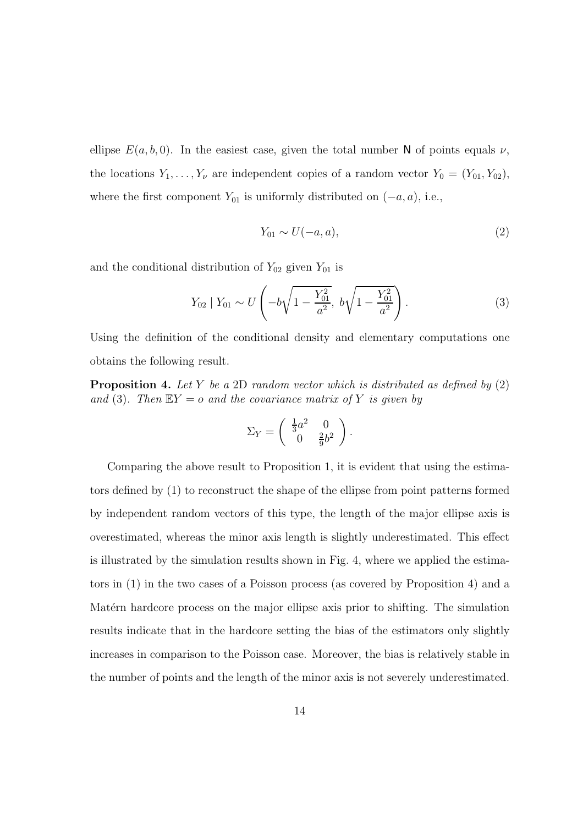ellipse  $E(a, b, 0)$ . In the easiest case, given the total number N of points equals  $\nu$ , the locations  $Y_1, \ldots, Y_{\nu}$  are independent copies of a random vector  $Y_0 = (Y_{01}, Y_{02}),$ where the first component  $Y_{01}$  is uniformly distributed on  $(-a, a)$ , i.e.,

$$
Y_{01} \sim U(-a, a),\tag{2}
$$

and the conditional distribution of  $Y_{02}$  given  $Y_{01}$  is

$$
Y_{02} | Y_{01} \sim U\left(-b\sqrt{1 - \frac{Y_{01}^2}{a^2}}, \ b\sqrt{1 - \frac{Y_{01}^2}{a^2}}\right).
$$
 (3)

Using the definition of the conditional density and elementary computations one obtains the following result.

**Proposition 4.** Let Y be a 2D random vector which is distributed as defined by  $(2)$ and (3). Then  $EY = o$  and the covariance matrix of Y is given by

$$
\Sigma_Y = \begin{pmatrix} \frac{1}{3}a^2 & 0 \\ 0 & \frac{2}{9}b^2 \end{pmatrix}.
$$

Comparing the above result to Proposition 1, it is evident that using the estimators defined by (1) to reconstruct the shape of the ellipse from point patterns formed by independent random vectors of this type, the length of the major ellipse axis is overestimated, whereas the minor axis length is slightly underestimated. This effect is illustrated by the simulation results shown in Fig. 4, where we applied the estimators in (1) in the two cases of a Poisson process (as covered by Proposition 4) and a Matérn hardcore process on the major ellipse axis prior to shifting. The simulation results indicate that in the hardcore setting the bias of the estimators only slightly increases in comparison to the Poisson case. Moreover, the bias is relatively stable in the number of points and the length of the minor axis is not severely underestimated.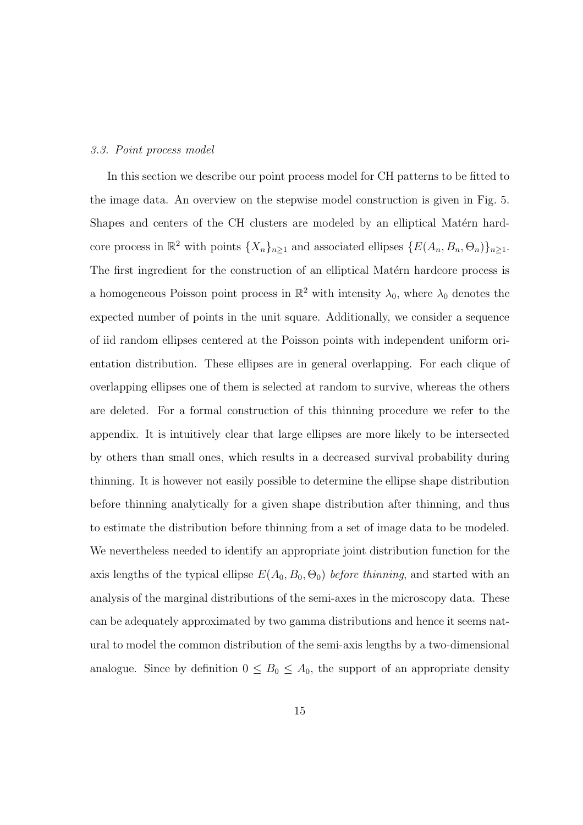#### 3.3. Point process model

In this section we describe our point process model for CH patterns to be fitted to the image data. An overview on the stepwise model construction is given in Fig. 5. Shapes and centers of the CH clusters are modeled by an elliptical Matérn hardcore process in  $\mathbb{R}^2$  with points  $\{X_n\}_{n\geq 1}$  and associated ellipses  $\{E(A_n, B_n, \Theta_n)\}_{n\geq 1}$ . The first ingredient for the construction of an elliptical Matérn hardcore process is a homogeneous Poisson point process in  $\mathbb{R}^2$  with intensity  $\lambda_0$ , where  $\lambda_0$  denotes the expected number of points in the unit square. Additionally, we consider a sequence of iid random ellipses centered at the Poisson points with independent uniform orientation distribution. These ellipses are in general overlapping. For each clique of overlapping ellipses one of them is selected at random to survive, whereas the others are deleted. For a formal construction of this thinning procedure we refer to the appendix. It is intuitively clear that large ellipses are more likely to be intersected by others than small ones, which results in a decreased survival probability during thinning. It is however not easily possible to determine the ellipse shape distribution before thinning analytically for a given shape distribution after thinning, and thus to estimate the distribution before thinning from a set of image data to be modeled. We nevertheless needed to identify an appropriate joint distribution function for the axis lengths of the typical ellipse  $E(A_0, B_0, \Theta_0)$  before thinning, and started with an analysis of the marginal distributions of the semi-axes in the microscopy data. These can be adequately approximated by two gamma distributions and hence it seems natural to model the common distribution of the semi-axis lengths by a two-dimensional analogue. Since by definition  $0 \leq B_0 \leq A_0$ , the support of an appropriate density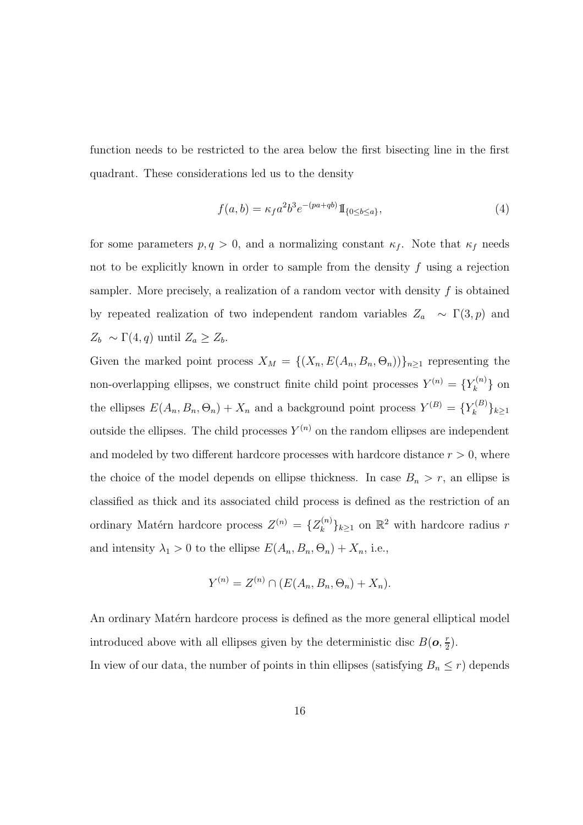function needs to be restricted to the area below the first bisecting line in the first quadrant. These considerations led us to the density

$$
f(a,b) = \kappa_f a^2 b^3 e^{-(pa+qb)} \mathbb{1}_{\{0 \le b \le a\}},\tag{4}
$$

for some parameters  $p, q > 0$ , and a normalizing constant  $\kappa_f$ . Note that  $\kappa_f$  needs not to be explicitly known in order to sample from the density  $f$  using a rejection sampler. More precisely, a realization of a random vector with density  $f$  is obtained by repeated realization of two independent random variables  $Z_a \sim \Gamma(3, p)$  and  $Z_b \sim \Gamma(4,q)$  until  $Z_a \geq Z_b$ .

Given the marked point process  $X_M = \{(X_n, E(A_n, B_n, \Theta_n))\}_{n \geq 1}$  representing the non-overlapping ellipses, we construct finite child point processes  $Y^{(n)} = \{Y_k^{(n)}\}$  $\{k^{(n)}\}$  on the ellipses  $E(A_n, B_n, \Theta_n) + X_n$  and a background point process  $Y^{(B)} = \{Y_k^{(B)}\}$  $\{k^{(D)}\}_{k\geq 1}$ outside the ellipses. The child processes  $Y^{(n)}$  on the random ellipses are independent and modeled by two different hardcore processes with hardcore distance  $r > 0$ , where the choice of the model depends on ellipse thickness. In case  $B_n > r$ , an ellipse is classified as thick and its associated child process is defined as the restriction of an ordinary Matérn hardcore process  $Z^{(n)} = \{Z_k^{(n)}\}$  $\{k^{(n)}\}_{k\geq 1}$  on  $\mathbb{R}^2$  with hardcore radius r and intensity  $\lambda_1 > 0$  to the ellipse  $E(A_n, B_n, \Theta_n) + X_n$ , i.e.,

$$
Y^{(n)} = Z^{(n)} \cap (E(A_n, B_n, \Theta_n) + X_n).
$$

An ordinary Matérn hardcore process is defined as the more general elliptical model introduced above with all ellipses given by the deterministic disc  $B(\boldsymbol{o}, \frac{r}{2})$  $\frac{r}{2}$ .

In view of our data, the number of points in thin ellipses (satisfying  $B_n \le r$ ) depends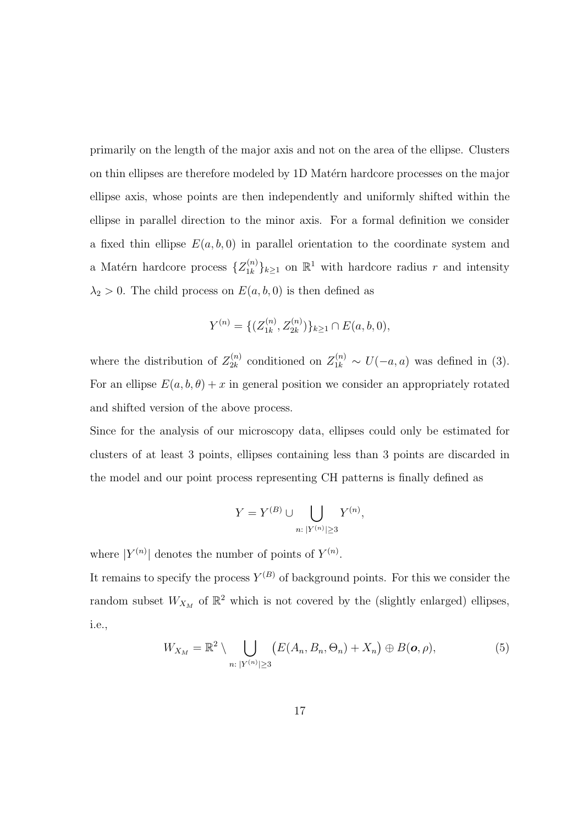primarily on the length of the major axis and not on the area of the ellipse. Clusters on thin ellipses are therefore modeled by 1D Matérn hardcore processes on the major ellipse axis, whose points are then independently and uniformly shifted within the ellipse in parallel direction to the minor axis. For a formal definition we consider a fixed thin ellipse  $E(a, b, 0)$  in parallel orientation to the coordinate system and a Matérn hardcore process  $\{Z_{1k}^{(n)}\}$  $\{n \choose 1k}_{k \geq 1}$  on  $\mathbb{R}^1$  with hardcore radius r and intensity  $\lambda_2 > 0$ . The child process on  $E(a, b, 0)$  is then defined as

$$
Y^{(n)} = \{ (Z_{1k}^{(n)}, Z_{2k}^{(n)}) \}_{k \ge 1} \cap E(a, b, 0),
$$

where the distribution of  $Z_{2k}^{(n)}$  $\chi_{2k}^{(n)}$  conditioned on  $Z_{1k}^{(n)} \sim U(-a, a)$  was defined in (3). For an ellipse  $E(a, b, \theta) + x$  in general position we consider an appropriately rotated and shifted version of the above process.

Since for the analysis of our microscopy data, ellipses could only be estimated for clusters of at least 3 points, ellipses containing less than 3 points are discarded in the model and our point process representing CH patterns is finally defined as

$$
Y = Y^{(B)} \cup \bigcup_{n:\,|Y^{(n)}| \ge 3} Y^{(n)},
$$

where  $|Y^{(n)}|$  denotes the number of points of  $Y^{(n)}$ .

It remains to specify the process  $Y^{(B)}$  of background points. For this we consider the random subset  $W_{X_M}$  of  $\mathbb{R}^2$  which is not covered by the (slightly enlarged) ellipses, i.e.,

$$
W_{X_M} = \mathbb{R}^2 \setminus \bigcup_{n: \, |Y^{(n)}| \ge 3} \big( E(A_n, B_n, \Theta_n) + X_n \big) \oplus B(\mathbf{o}, \rho), \tag{5}
$$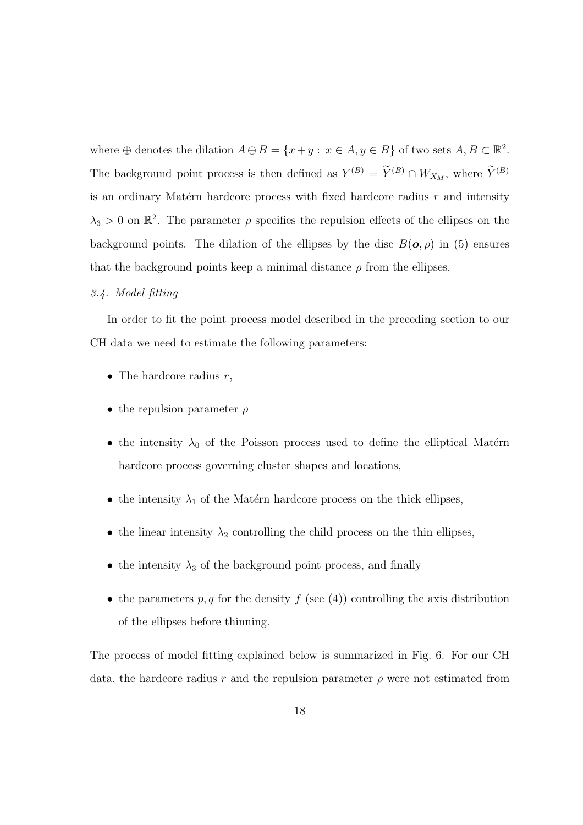where  $\oplus$  denotes the dilation  $A \oplus B = \{x + y : x \in A, y \in B\}$  of two sets  $A, B \subset \mathbb{R}^2$ . The background point process is then defined as  $Y^{(B)} = \tilde{Y}^{(B)} \cap W_{X_M}$ , where  $\tilde{Y}^{(B)}$ is an ordinary Matérn hardcore process with fixed hardcore radius  $r$  and intensity  $\lambda_3 > 0$  on  $\mathbb{R}^2$ . The parameter  $\rho$  specifies the repulsion effects of the ellipses on the background points. The dilation of the ellipses by the disc  $B(\mathbf{o}, \rho)$  in (5) ensures that the background points keep a minimal distance  $\rho$  from the ellipses.

## 3.4. Model fitting

In order to fit the point process model described in the preceding section to our CH data we need to estimate the following parameters:

- The hardcore radius  $r$ ,
- the repulsion parameter  $\rho$
- the intensity  $\lambda_0$  of the Poisson process used to define the elliptical Matérn hardcore process governing cluster shapes and locations,
- the intensity  $\lambda_1$  of the Matérn hardcore process on the thick ellipses,
- the linear intensity  $\lambda_2$  controlling the child process on the thin ellipses,
- the intensity  $\lambda_3$  of the background point process, and finally
- the parameters  $p, q$  for the density  $f$  (see (4)) controlling the axis distribution of the ellipses before thinning.

The process of model fitting explained below is summarized in Fig. 6. For our CH data, the hardcore radius r and the repulsion parameter  $\rho$  were not estimated from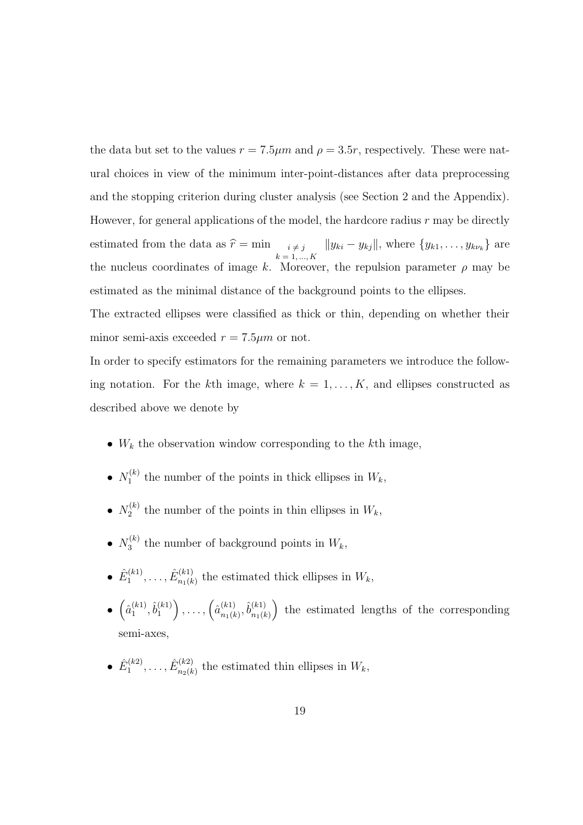the data but set to the values  $r = 7.5 \mu m$  and  $\rho = 3.5r$ , respectively. These were natural choices in view of the minimum inter-point-distances after data preprocessing and the stopping criterion during cluster analysis (see Section 2 and the Appendix). However, for general applications of the model, the hardcore radius  $r$  may be directly estimated from the data as  $\hat{r} = \min_{\substack{i \neq j \\ k = 1, ..., K}}$  $||y_{ki} - y_{kj}||$ , where  $\{y_{k1}, \ldots, y_{k\nu_k}\}\$ are the nucleus coordinates of image k. Moreover, the repulsion parameter  $\rho$  may be estimated as the minimal distance of the background points to the ellipses.

The extracted ellipses were classified as thick or thin, depending on whether their minor semi-axis exceeded  $r = 7.5 \mu m$  or not.

In order to specify estimators for the remaining parameters we introduce the following notation. For the kth image, where  $k = 1, \ldots, K$ , and ellipses constructed as described above we denote by

- $W_k$  the observation window corresponding to the k<sup>th</sup> image,
- $\bullet$   $N_1^{(k)}$  $t_1^{(k)}$  the number of the points in thick ellipses in  $W_k$ ,
- $\bullet$   $N_2^{(k)}$  $t_2^{(k)}$  the number of the points in thin ellipses in  $W_k$ ,
- $\bullet$   $N_3^{(k)}$  $t_3^{(k)}$  the number of background points in  $W_k$ ,
- $\bullet$   $\hat{E}_1^{(k1)}$  $\hat{E}^{(k1)}_{1},\ldots,\hat{E}^{(k1)}_{n_1(k)}$  $\binom{k+1}{n_1(k)}$  the estimated thick ellipses in  $W_k$ ,
- $\bullet$   $\left(\hat{a}_1^{(k)}\right)$  $\hat{b}_1^{(k1)}, \hat{b}_1^{(k1)}$ 1  $\bigg), \ldots, \bigg(\hat{a}_{n_1(k)}^{(k_1)}\bigg)$  $_{n_{1}(k)}^{(k1)},\hat{b}_{n_{1}(k)}^{(k1)}$  $n_1(k)$ ) the estimated lengths of the corresponding semi-axes,
- $\bullet$   $\hat{E}_1^{(k2)}$  $\hat{E}^{(k2)}_{1},\ldots,\hat{E}^{(k2)}_{n_{2}(k)}$  $\binom{n}{k}$  the estimated thin ellipses in  $W_k$ ,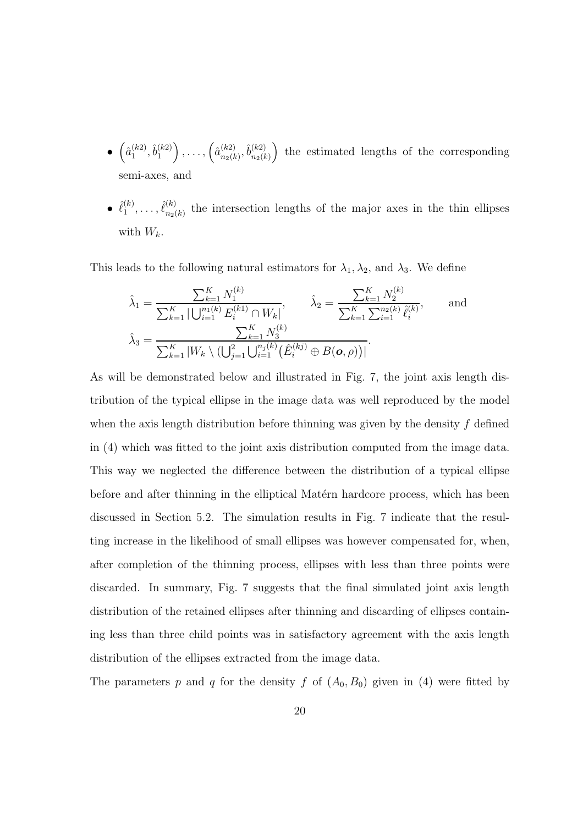- $\bullet$   $\left(\hat{a}_1^{(k2)}\right)$  $\hat{b}_1^{(k2)}, \hat{b}_1^{(k2)}$ 1  $\bigg), \ldots, \bigg(\hat{a}_{n_2(k)}^{(k_2)}\bigg)$  $_{n_{2}(k)}^{(k2)},\hat{b}_{n_{2}(k)}^{(k2)}$  $n_2(k)$ ) the estimated lengths of the corresponding semi-axes, and
- $\hat{\ell}_1^{(k)}$  $\overset{(k)}{1},\ldots,\overset{\hat{\ell}^{(k)}}{n_2}$  $\binom{k}{n_2(k)}$  the intersection lengths of the major axes in the thin ellipses with  $W_k$ .

This leads to the following natural estimators for  $\lambda_1, \lambda_2$ , and  $\lambda_3$ . We define

$$
\hat{\lambda}_1 = \frac{\sum_{k=1}^K N_1^{(k)}}{\sum_{k=1}^K |\bigcup_{i=1}^{n_1(k)} E_i^{(k)} \cap W_k|}, \qquad \hat{\lambda}_2 = \frac{\sum_{k=1}^K N_2^{(k)}}{\sum_{k=1}^K \sum_{i=1}^{n_2(k)} \hat{\ell}_i^{(k)}}, \qquad \text{and}
$$

$$
\hat{\lambda}_3 = \frac{\sum_{k=1}^K N_3^{(k)}}{\sum_{k=1}^K |W_k \setminus (\bigcup_{j=1}^2 \bigcup_{i=1}^{n_j(k)} (\hat{E}_i^{(kj)} \oplus B(\mathbf{o}, \rho))|}.
$$

As will be demonstrated below and illustrated in Fig. 7, the joint axis length distribution of the typical ellipse in the image data was well reproduced by the model when the axis length distribution before thinning was given by the density  $f$  defined in (4) which was fitted to the joint axis distribution computed from the image data. This way we neglected the difference between the distribution of a typical ellipse before and after thinning in the elliptical Matérn hardcore process, which has been discussed in Section 5.2. The simulation results in Fig. 7 indicate that the resulting increase in the likelihood of small ellipses was however compensated for, when, after completion of the thinning process, ellipses with less than three points were discarded. In summary, Fig. 7 suggests that the final simulated joint axis length distribution of the retained ellipses after thinning and discarding of ellipses containing less than three child points was in satisfactory agreement with the axis length distribution of the ellipses extracted from the image data.

The parameters p and q for the density f of  $(A_0, B_0)$  given in (4) were fitted by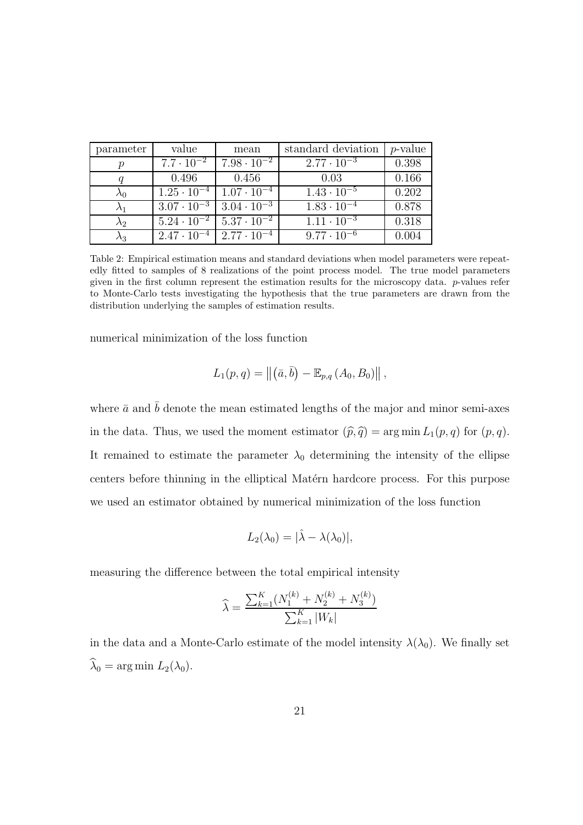| parameter   | value                                       | mean                                        | standard deviation   | <i>p</i> -value |
|-------------|---------------------------------------------|---------------------------------------------|----------------------|-----------------|
| р           | $7.7 \cdot 10^{-2}$                         | $7.98 \cdot 10^{-2}$                        | $2.77 \cdot 10^{-3}$ | 0.398           |
|             | 0.496                                       | 0.456                                       | 0.03                 | 0.166           |
| $\lambda_0$ | $1.25 \cdot 10^{-4}$                        | $1.07 \cdot 10^{-4}$                        | $1.43 \cdot 10^{-5}$ | 0.202           |
| $\lambda_1$ | $3.07 \cdot 10^{-3}$   $3.04 \cdot 10^{-3}$ |                                             | $1.83 \cdot 10^{-4}$ | 0.878           |
| $\lambda_2$ |                                             | $5.24 \cdot 10^{-2}$   $5.37 \cdot 10^{-2}$ | $1.11 \cdot 10^{-3}$ | 0.318           |
| $\lambda_3$ | $2.47 \cdot 10^{-4}$                        | $12.77 \cdot 10^{-4}$                       | $9.77 \cdot 10^{-6}$ | 0.004           |

Table 2: Empirical estimation means and standard deviations when model parameters were repeatedly fitted to samples of 8 realizations of the point process model. The true model parameters given in the first column represent the estimation results for the microscopy data. p-values refer to Monte-Carlo tests investigating the hypothesis that the true parameters are drawn from the distribution underlying the samples of estimation results.

numerical minimization of the loss function

$$
L_1(p,q) = ||(\bar{a}, \bar{b}) - \mathbb{E}_{p,q} (A_0, B_0)||,
$$

where  $\bar{a}$  and  $\bar{b}$  denote the mean estimated lengths of the major and minor semi-axes in the data. Thus, we used the moment estimator  $(\widehat{p}, \widehat{q}) = \arg \min L_1(p, q)$  for  $(p, q)$ . It remained to estimate the parameter  $\lambda_0$  determining the intensity of the ellipse centers before thinning in the elliptical Matérn hardcore process. For this purpose we used an estimator obtained by numerical minimization of the loss function

$$
L_2(\lambda_0)=|\hat{\lambda}-\lambda(\lambda_0)|,
$$

measuring the difference between the total empirical intensity

$$
\widehat{\lambda} = \frac{\sum_{k=1}^{K} (N_1^{(k)} + N_2^{(k)} + N_3^{(k)})}{\sum_{k=1}^{K} |W_k|}
$$

in the data and a Monte-Carlo estimate of the model intensity  $\lambda(\lambda_0)$ . We finally set  $\widehat{\lambda}_0 = \arg \min L_2(\lambda_0).$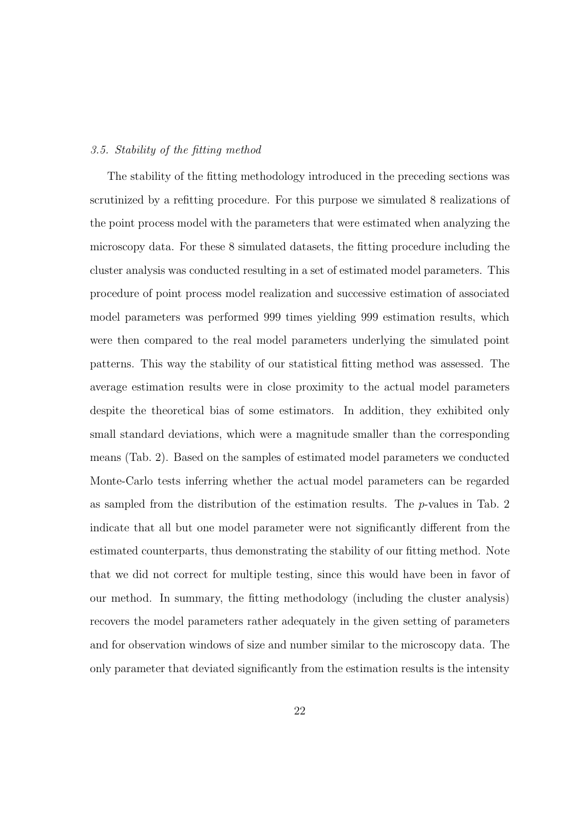## 3.5. Stability of the fitting method

The stability of the fitting methodology introduced in the preceding sections was scrutinized by a refitting procedure. For this purpose we simulated 8 realizations of the point process model with the parameters that were estimated when analyzing the microscopy data. For these 8 simulated datasets, the fitting procedure including the cluster analysis was conducted resulting in a set of estimated model parameters. This procedure of point process model realization and successive estimation of associated model parameters was performed 999 times yielding 999 estimation results, which were then compared to the real model parameters underlying the simulated point patterns. This way the stability of our statistical fitting method was assessed. The average estimation results were in close proximity to the actual model parameters despite the theoretical bias of some estimators. In addition, they exhibited only small standard deviations, which were a magnitude smaller than the corresponding means (Tab. 2). Based on the samples of estimated model parameters we conducted Monte-Carlo tests inferring whether the actual model parameters can be regarded as sampled from the distribution of the estimation results. The  $p$ -values in Tab. 2 indicate that all but one model parameter were not significantly different from the estimated counterparts, thus demonstrating the stability of our fitting method. Note that we did not correct for multiple testing, since this would have been in favor of our method. In summary, the fitting methodology (including the cluster analysis) recovers the model parameters rather adequately in the given setting of parameters and for observation windows of size and number similar to the microscopy data. The only parameter that deviated significantly from the estimation results is the intensity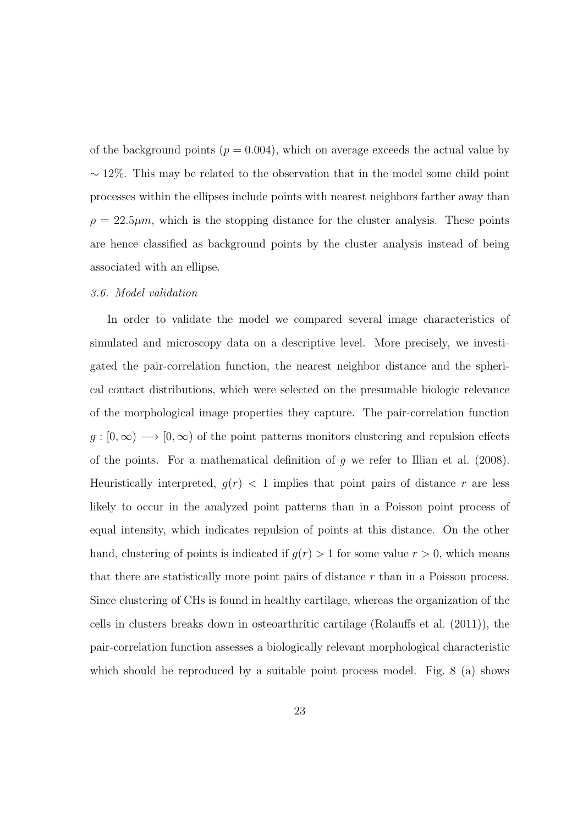of the background points  $(p = 0.004)$ , which on average exceeds the actual value by  $\sim$  12%. This may be related to the observation that in the model some child point processes within the ellipses include points with nearest neighbors farther away than  $\rho = 22.5 \mu m$ , which is the stopping distance for the cluster analysis. These points are hence classified as background points by the cluster analysis instead of being associated with an ellipse.

#### 3.6. Model validation

In order to validate the model we compared several image characteristics of simulated and microscopy data on a descriptive level. More precisely, we investigated the pair-correlation function, the nearest neighbor distance and the spherical contact distributions, which were selected on the presumable biologic relevance of the morphological image properties they capture. The pair-correlation function  $g : [0, \infty) \longrightarrow [0, \infty)$  of the point patterns monitors clustering and repulsion effects of the points. For a mathematical definition of  $g$  we refer to Illian et al. (2008). Heuristically interpreted,  $g(r)$  < 1 implies that point pairs of distance r are less likely to occur in the analyzed point patterns than in a Poisson point process of equal intensity, which indicates repulsion of points at this distance. On the other hand, clustering of points is indicated if  $g(r) > 1$  for some value  $r > 0$ , which means that there are statistically more point pairs of distance r than in a Poisson process. Since clustering of CHs is found in healthy cartilage, whereas the organization of the cells in clusters breaks down in osteoarthritic cartilage (Rolauffs et al. (2011)), the pair-correlation function assesses a biologically relevant morphological characteristic which should be reproduced by a suitable point process model. Fig. 8 (a) shows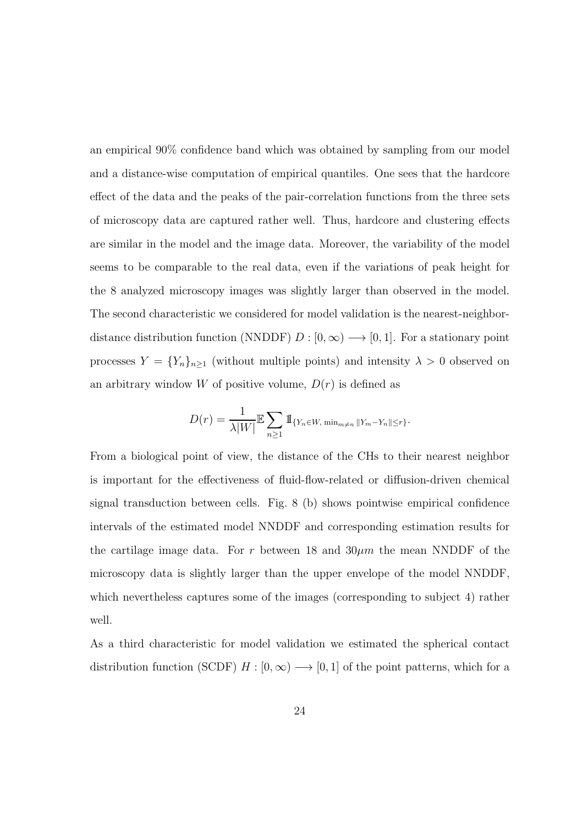an empirical 90% confidence band which was obtained by sampling from our model and a distance-wise computation of empirical quantiles. One sees that the hardcore effect of the data and the peaks of the pair-correlation functions from the three sets of microscopy data are captured rather well. Thus, hardcore and clustering effects are similar in the model and the image data. Moreover, the variability of the model seems to be comparable to the real data, even if the variations of peak height for the 8 analyzed microscopy images was slightly larger than observed in the model. The second characteristic we considered for model validation is the nearest-neighbordistance distribution function (NNDDF)  $D : [0, \infty) \longrightarrow [0, 1]$ . For a stationary point processes  $Y = \{Y_n\}_{n\geq 1}$  (without multiple points) and intensity  $\lambda > 0$  observed on an arbitrary window W of positive volume,  $D(r)$  is defined as

$$
D(r) = \frac{1}{\lambda |W|} \mathbb{E} \sum_{n \geq 1} \mathbb{1}_{\{Y_n \in W, \min_{m \neq n} ||Y_m - Y_n|| \leq r\}}.
$$

From a biological point of view, the distance of the CHs to their nearest neighbor is important for the effectiveness of fluid-flow-related or diffusion-driven chemical signal transduction between cells. Fig. 8 (b) shows pointwise empirical confidence intervals of the estimated model NNDDF and corresponding estimation results for the cartilage image data. For r between 18 and  $30 \mu m$  the mean NNDDF of the microscopy data is slightly larger than the upper envelope of the model NNDDF, which nevertheless captures some of the images (corresponding to subject 4) rather well.

As a third characteristic for model validation we estimated the spherical contact distribution function (SCDF)  $H : [0, \infty) \longrightarrow [0, 1]$  of the point patterns, which for a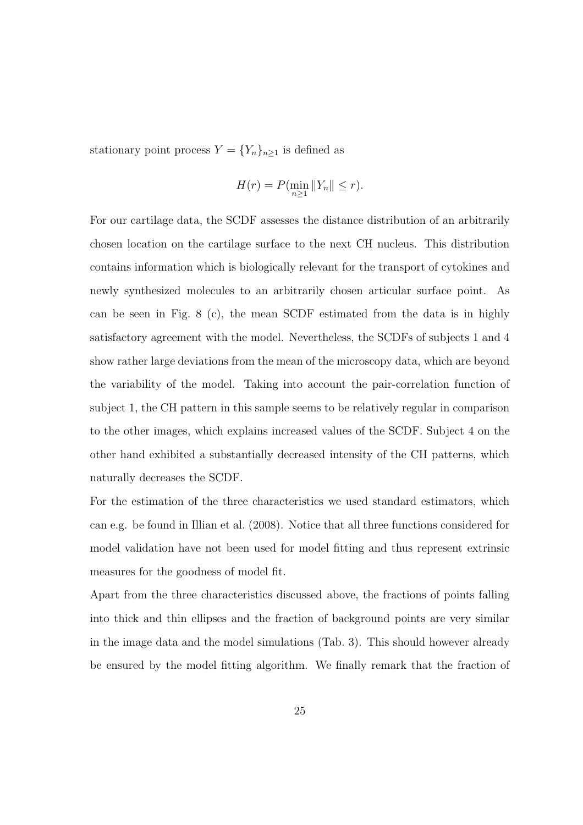stationary point process  $Y = \{Y_n\}_{n \geq 1}$  is defined as

$$
H(r) = P(\min_{n\geq 1} ||Y_n|| \leq r).
$$

For our cartilage data, the SCDF assesses the distance distribution of an arbitrarily chosen location on the cartilage surface to the next CH nucleus. This distribution contains information which is biologically relevant for the transport of cytokines and newly synthesized molecules to an arbitrarily chosen articular surface point. As can be seen in Fig. 8 (c), the mean SCDF estimated from the data is in highly satisfactory agreement with the model. Nevertheless, the SCDFs of subjects 1 and 4 show rather large deviations from the mean of the microscopy data, which are beyond the variability of the model. Taking into account the pair-correlation function of subject 1, the CH pattern in this sample seems to be relatively regular in comparison to the other images, which explains increased values of the SCDF. Subject 4 on the other hand exhibited a substantially decreased intensity of the CH patterns, which naturally decreases the SCDF.

For the estimation of the three characteristics we used standard estimators, which can e.g. be found in Illian et al. (2008). Notice that all three functions considered for model validation have not been used for model fitting and thus represent extrinsic measures for the goodness of model fit.

Apart from the three characteristics discussed above, the fractions of points falling into thick and thin ellipses and the fraction of background points are very similar in the image data and the model simulations (Tab. 3). This should however already be ensured by the model fitting algorithm. We finally remark that the fraction of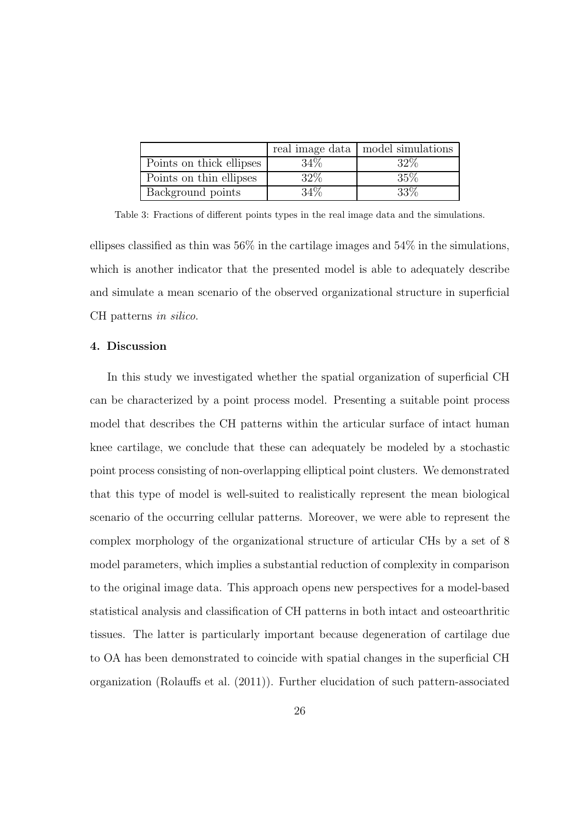|                          |      | real image data   model simulations |
|--------------------------|------|-------------------------------------|
| Points on thick ellipses | 34\% | 32\%                                |
| Points on thin ellipses  | 32\% | 35%                                 |
| Background points        | 34\% | 33\%                                |

Table 3: Fractions of different points types in the real image data and the simulations.

ellipses classified as thin was  $56\%$  in the cartilage images and  $54\%$  in the simulations, which is another indicator that the presented model is able to adequately describe and simulate a mean scenario of the observed organizational structure in superficial CH patterns in silico.

## 4. Discussion

In this study we investigated whether the spatial organization of superficial CH can be characterized by a point process model. Presenting a suitable point process model that describes the CH patterns within the articular surface of intact human knee cartilage, we conclude that these can adequately be modeled by a stochastic point process consisting of non-overlapping elliptical point clusters. We demonstrated that this type of model is well-suited to realistically represent the mean biological scenario of the occurring cellular patterns. Moreover, we were able to represent the complex morphology of the organizational structure of articular CHs by a set of 8 model parameters, which implies a substantial reduction of complexity in comparison to the original image data. This approach opens new perspectives for a model-based statistical analysis and classification of CH patterns in both intact and osteoarthritic tissues. The latter is particularly important because degeneration of cartilage due to OA has been demonstrated to coincide with spatial changes in the superficial CH organization (Rolauffs et al. (2011)). Further elucidation of such pattern-associated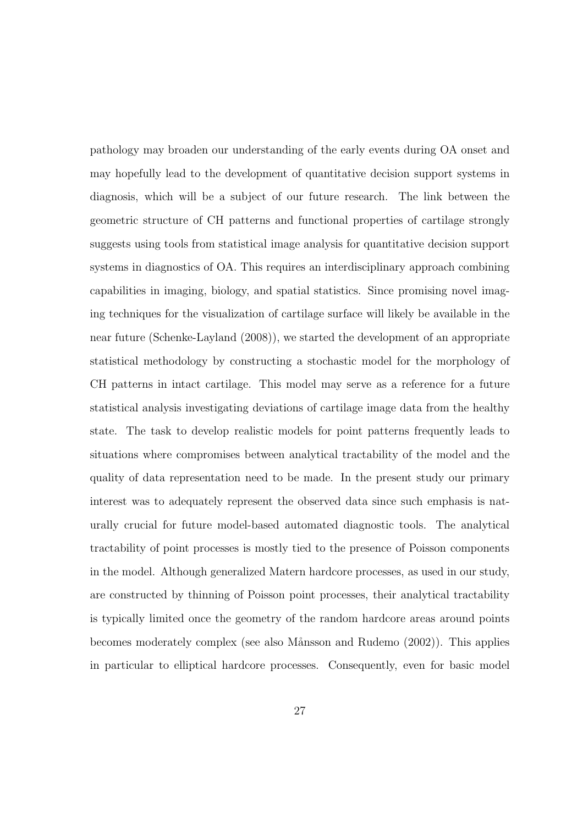pathology may broaden our understanding of the early events during OA onset and may hopefully lead to the development of quantitative decision support systems in diagnosis, which will be a subject of our future research. The link between the geometric structure of CH patterns and functional properties of cartilage strongly suggests using tools from statistical image analysis for quantitative decision support systems in diagnostics of OA. This requires an interdisciplinary approach combining capabilities in imaging, biology, and spatial statistics. Since promising novel imaging techniques for the visualization of cartilage surface will likely be available in the near future (Schenke-Layland (2008)), we started the development of an appropriate statistical methodology by constructing a stochastic model for the morphology of CH patterns in intact cartilage. This model may serve as a reference for a future statistical analysis investigating deviations of cartilage image data from the healthy state. The task to develop realistic models for point patterns frequently leads to situations where compromises between analytical tractability of the model and the quality of data representation need to be made. In the present study our primary interest was to adequately represent the observed data since such emphasis is naturally crucial for future model-based automated diagnostic tools. The analytical tractability of point processes is mostly tied to the presence of Poisson components in the model. Although generalized Matern hardcore processes, as used in our study, are constructed by thinning of Poisson point processes, their analytical tractability is typically limited once the geometry of the random hardcore areas around points becomes moderately complex (see also M˚ansson and Rudemo (2002)). This applies in particular to elliptical hardcore processes. Consequently, even for basic model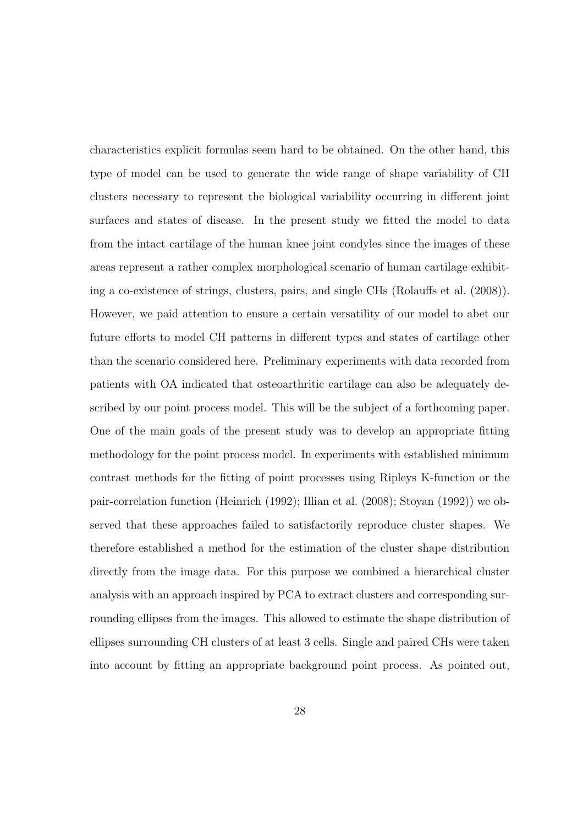characteristics explicit formulas seem hard to be obtained. On the other hand, this type of model can be used to generate the wide range of shape variability of CH clusters necessary to represent the biological variability occurring in different joint surfaces and states of disease. In the present study we fitted the model to data from the intact cartilage of the human knee joint condyles since the images of these areas represent a rather complex morphological scenario of human cartilage exhibiting a co-existence of strings, clusters, pairs, and single CHs (Rolauffs et al. (2008)). However, we paid attention to ensure a certain versatility of our model to abet our future efforts to model CH patterns in different types and states of cartilage other than the scenario considered here. Preliminary experiments with data recorded from patients with OA indicated that osteoarthritic cartilage can also be adequately described by our point process model. This will be the subject of a forthcoming paper. One of the main goals of the present study was to develop an appropriate fitting methodology for the point process model. In experiments with established minimum contrast methods for the fitting of point processes using Ripleys K-function or the pair-correlation function (Heinrich (1992); Illian et al. (2008); Stoyan (1992)) we observed that these approaches failed to satisfactorily reproduce cluster shapes. We therefore established a method for the estimation of the cluster shape distribution directly from the image data. For this purpose we combined a hierarchical cluster analysis with an approach inspired by PCA to extract clusters and corresponding surrounding ellipses from the images. This allowed to estimate the shape distribution of ellipses surrounding CH clusters of at least 3 cells. Single and paired CHs were taken into account by fitting an appropriate background point process. As pointed out,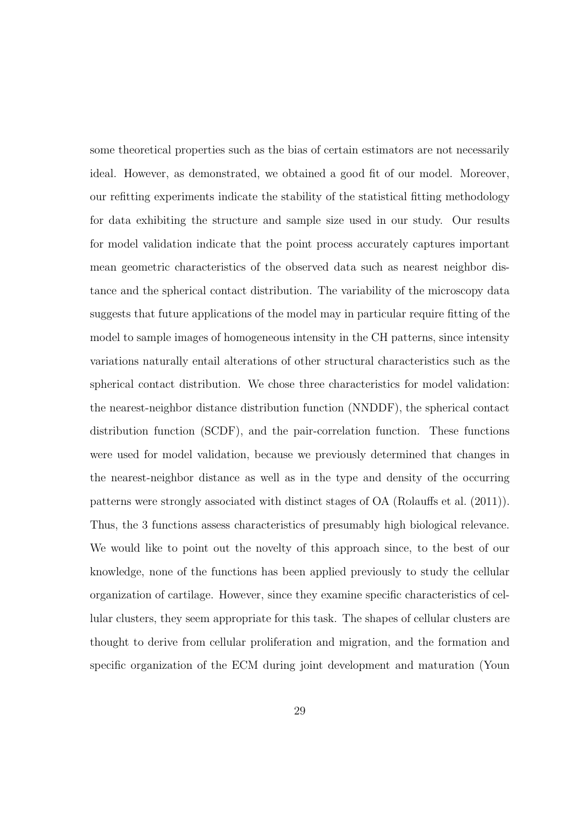some theoretical properties such as the bias of certain estimators are not necessarily ideal. However, as demonstrated, we obtained a good fit of our model. Moreover, our refitting experiments indicate the stability of the statistical fitting methodology for data exhibiting the structure and sample size used in our study. Our results for model validation indicate that the point process accurately captures important mean geometric characteristics of the observed data such as nearest neighbor distance and the spherical contact distribution. The variability of the microscopy data suggests that future applications of the model may in particular require fitting of the model to sample images of homogeneous intensity in the CH patterns, since intensity variations naturally entail alterations of other structural characteristics such as the spherical contact distribution. We chose three characteristics for model validation: the nearest-neighbor distance distribution function (NNDDF), the spherical contact distribution function (SCDF), and the pair-correlation function. These functions were used for model validation, because we previously determined that changes in the nearest-neighbor distance as well as in the type and density of the occurring patterns were strongly associated with distinct stages of OA (Rolauffs et al. (2011)). Thus, the 3 functions assess characteristics of presumably high biological relevance. We would like to point out the novelty of this approach since, to the best of our knowledge, none of the functions has been applied previously to study the cellular organization of cartilage. However, since they examine specific characteristics of cellular clusters, they seem appropriate for this task. The shapes of cellular clusters are thought to derive from cellular proliferation and migration, and the formation and specific organization of the ECM during joint development and maturation (Youn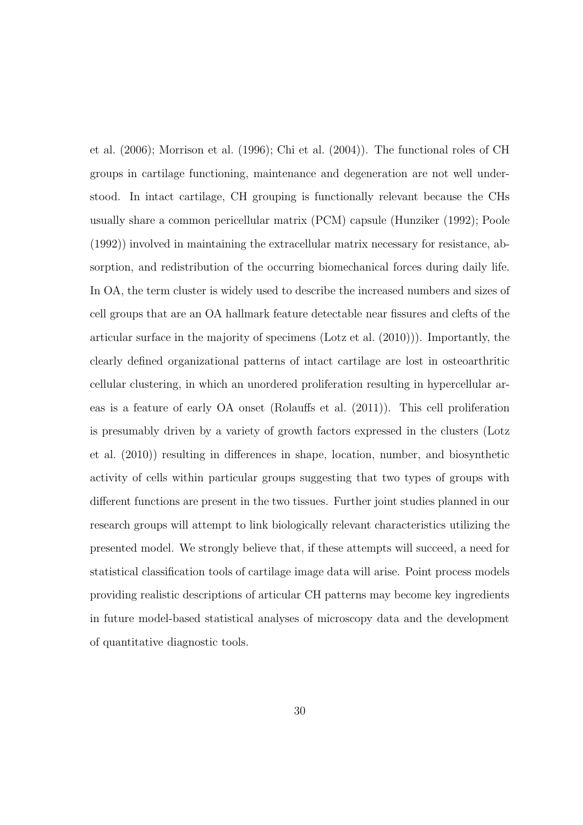et al. (2006); Morrison et al. (1996); Chi et al. (2004)). The functional roles of CH groups in cartilage functioning, maintenance and degeneration are not well understood. In intact cartilage, CH grouping is functionally relevant because the CHs usually share a common pericellular matrix (PCM) capsule (Hunziker (1992); Poole (1992)) involved in maintaining the extracellular matrix necessary for resistance, absorption, and redistribution of the occurring biomechanical forces during daily life. In OA, the term cluster is widely used to describe the increased numbers and sizes of cell groups that are an OA hallmark feature detectable near fissures and clefts of the articular surface in the majority of specimens (Lotz et al. (2010))). Importantly, the clearly defined organizational patterns of intact cartilage are lost in osteoarthritic cellular clustering, in which an unordered proliferation resulting in hypercellular areas is a feature of early OA onset (Rolauffs et al. (2011)). This cell proliferation is presumably driven by a variety of growth factors expressed in the clusters (Lotz et al. (2010)) resulting in differences in shape, location, number, and biosynthetic activity of cells within particular groups suggesting that two types of groups with different functions are present in the two tissues. Further joint studies planned in our research groups will attempt to link biologically relevant characteristics utilizing the presented model. We strongly believe that, if these attempts will succeed, a need for statistical classification tools of cartilage image data will arise. Point process models providing realistic descriptions of articular CH patterns may become key ingredients in future model-based statistical analyses of microscopy data and the development of quantitative diagnostic tools.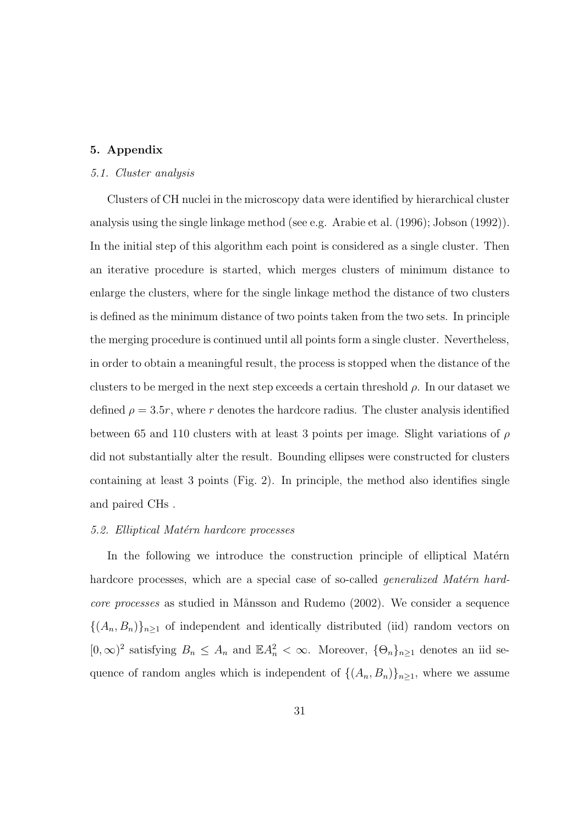## 5. Appendix

## 5.1. Cluster analysis

Clusters of CH nuclei in the microscopy data were identified by hierarchical cluster analysis using the single linkage method (see e.g. Arabie et al. (1996); Jobson (1992)). In the initial step of this algorithm each point is considered as a single cluster. Then an iterative procedure is started, which merges clusters of minimum distance to enlarge the clusters, where for the single linkage method the distance of two clusters is defined as the minimum distance of two points taken from the two sets. In principle the merging procedure is continued until all points form a single cluster. Nevertheless, in order to obtain a meaningful result, the process is stopped when the distance of the clusters to be merged in the next step exceeds a certain threshold  $\rho$ . In our dataset we defined  $\rho = 3.5r$ , where r denotes the hardcore radius. The cluster analysis identified between 65 and 110 clusters with at least 3 points per image. Slight variations of  $\rho$ did not substantially alter the result. Bounding ellipses were constructed for clusters containing at least 3 points (Fig. 2). In principle, the method also identifies single and paired CHs .

## 5.2. Elliptical Matérn hardcore processes

In the following we introduce the construction principle of elliptical Matérn hardcore processes, which are a special case of so-called *generalized Matérn hard*core processes as studied in Månsson and Rudemo (2002). We consider a sequence  ${(A_n, B_n)}_{n\geq 1}$  of independent and identically distributed (iid) random vectors on  $[0,\infty)^2$  satisfying  $B_n \leq A_n$  and  $\mathbb{E}A_n^2 < \infty$ . Moreover,  $\{\Theta_n\}_{n\geq 1}$  denotes an iid sequence of random angles which is independent of  $\{(A_n, B_n)\}_{n\geq 1}$ , where we assume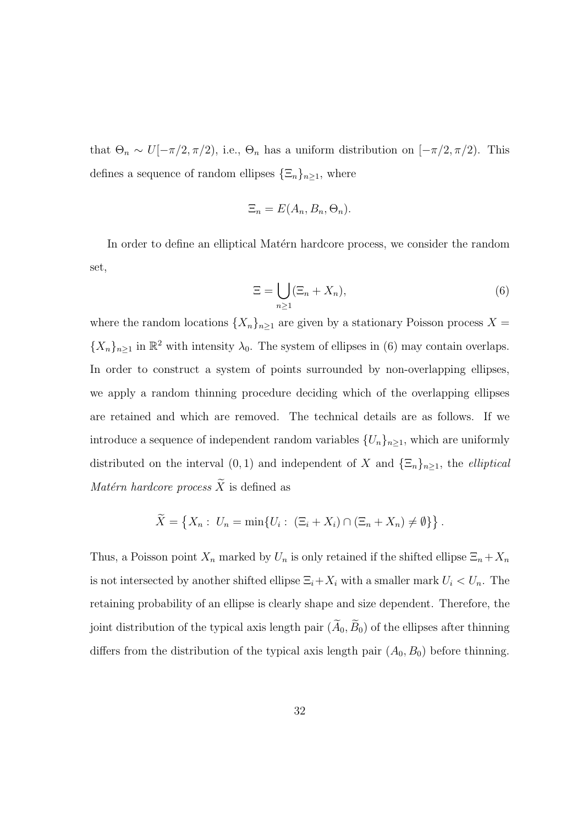that  $\Theta_n \sim U[-\pi/2, \pi/2)$ , i.e.,  $\Theta_n$  has a uniform distribution on  $[-\pi/2, \pi/2)$ . This defines a sequence of random ellipses  $\{\Xi_n\}_{n\geq 1}$ , where

$$
\Xi_n = E(A_n, B_n, \Theta_n).
$$

In order to define an elliptical Mate<sup>n</sup> hardcore process, we consider the random set,

$$
\Xi = \bigcup_{n\geq 1} (\Xi_n + X_n),\tag{6}
$$

where the random locations  $\{X_n\}_{n\geq 1}$  are given by a stationary Poisson process  $X =$  ${X_n}_{n\geq 1}$  in  $\mathbb{R}^2$  with intensity  $\lambda_0$ . The system of ellipses in (6) may contain overlaps. In order to construct a system of points surrounded by non-overlapping ellipses, we apply a random thinning procedure deciding which of the overlapping ellipses are retained and which are removed. The technical details are as follows. If we introduce a sequence of independent random variables  $\{U_n\}_{n\geq 1}$ , which are uniformly distributed on the interval  $(0, 1)$  and independent of X and  $\{\Xi_n\}_{n\geq 1}$ , the *elliptical*  $\operatorname{\mathit{Mat}\acute{e}rn}$  hardcore process  $\widetilde{X}$  is defined as

$$
\widetilde{X} = \left\{ X_n : U_n = \min \{ U_i : (\Xi_i + X_i) \cap (\Xi_n + X_n) \neq \emptyset \} \right\}.
$$

Thus, a Poisson point  $X_n$  marked by  $U_n$  is only retained if the shifted ellipse  $\Xi_n + X_n$ is not intersected by another shifted ellipse  $\Xi_i+X_i$  with a smaller mark  $U_i < U_n$ . The retaining probability of an ellipse is clearly shape and size dependent. Therefore, the joint distribution of the typical axis length pair  $(\widetilde{A}_0, \widetilde{B}_0)$  of the ellipses after thinning differs from the distribution of the typical axis length pair  $(A_0, B_0)$  before thinning.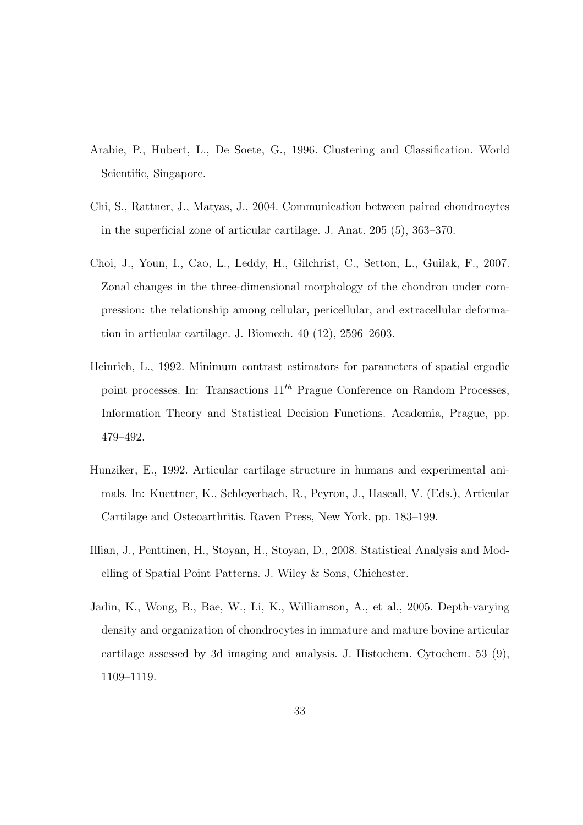- Arabie, P., Hubert, L., De Soete, G., 1996. Clustering and Classification. World Scientific, Singapore.
- Chi, S., Rattner, J., Matyas, J., 2004. Communication between paired chondrocytes in the superficial zone of articular cartilage. J. Anat. 205 (5), 363–370.
- Choi, J., Youn, I., Cao, L., Leddy, H., Gilchrist, C., Setton, L., Guilak, F., 2007. Zonal changes in the three-dimensional morphology of the chondron under compression: the relationship among cellular, pericellular, and extracellular deformation in articular cartilage. J. Biomech. 40 (12), 2596–2603.
- Heinrich, L., 1992. Minimum contrast estimators for parameters of spatial ergodic point processes. In: Transactions  $11^{th}$  Prague Conference on Random Processes, Information Theory and Statistical Decision Functions. Academia, Prague, pp. 479–492.
- Hunziker, E., 1992. Articular cartilage structure in humans and experimental animals. In: Kuettner, K., Schleyerbach, R., Peyron, J., Hascall, V. (Eds.), Articular Cartilage and Osteoarthritis. Raven Press, New York, pp. 183–199.
- Illian, J., Penttinen, H., Stoyan, H., Stoyan, D., 2008. Statistical Analysis and Modelling of Spatial Point Patterns. J. Wiley & Sons, Chichester.
- Jadin, K., Wong, B., Bae, W., Li, K., Williamson, A., et al., 2005. Depth-varying density and organization of chondrocytes in immature and mature bovine articular cartilage assessed by 3d imaging and analysis. J. Histochem. Cytochem. 53 (9), 1109–1119.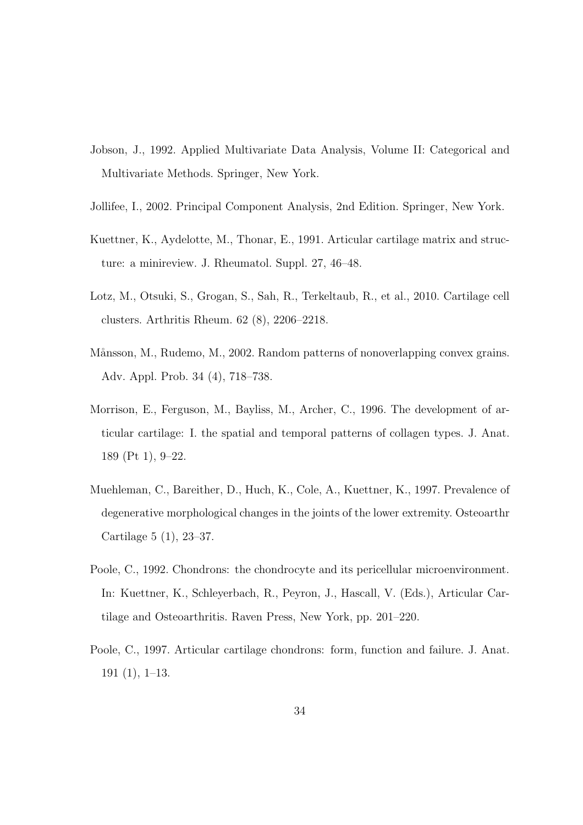- Jobson, J., 1992. Applied Multivariate Data Analysis, Volume II: Categorical and Multivariate Methods. Springer, New York.
- Jollifee, I., 2002. Principal Component Analysis, 2nd Edition. Springer, New York.
- Kuettner, K., Aydelotte, M., Thonar, E., 1991. Articular cartilage matrix and structure: a minireview. J. Rheumatol. Suppl. 27, 46–48.
- Lotz, M., Otsuki, S., Grogan, S., Sah, R., Terkeltaub, R., et al., 2010. Cartilage cell clusters. Arthritis Rheum. 62 (8), 2206–2218.
- Månsson, M., Rudemo, M., 2002. Random patterns of nonoverlapping convex grains. Adv. Appl. Prob. 34 (4), 718–738.
- Morrison, E., Ferguson, M., Bayliss, M., Archer, C., 1996. The development of articular cartilage: I. the spatial and temporal patterns of collagen types. J. Anat. 189 (Pt 1), 9–22.
- Muehleman, C., Bareither, D., Huch, K., Cole, A., Kuettner, K., 1997. Prevalence of degenerative morphological changes in the joints of the lower extremity. Osteoarthr Cartilage 5 (1), 23–37.
- Poole, C., 1992. Chondrons: the chondrocyte and its pericellular microenvironment. In: Kuettner, K., Schleyerbach, R., Peyron, J., Hascall, V. (Eds.), Articular Cartilage and Osteoarthritis. Raven Press, New York, pp. 201–220.
- Poole, C., 1997. Articular cartilage chondrons: form, function and failure. J. Anat. 191 (1), 1–13.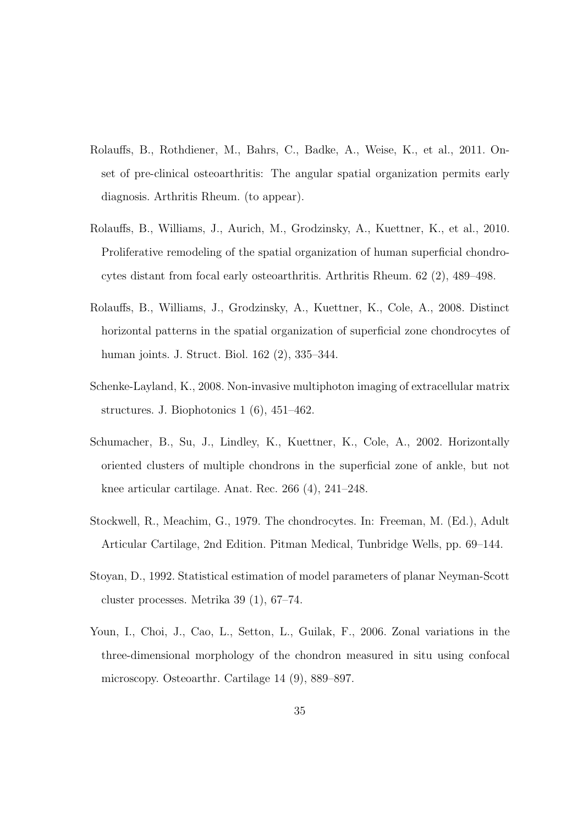- Rolauffs, B., Rothdiener, M., Bahrs, C., Badke, A., Weise, K., et al., 2011. Onset of pre-clinical osteoarthritis: The angular spatial organization permits early diagnosis. Arthritis Rheum. (to appear).
- Rolauffs, B., Williams, J., Aurich, M., Grodzinsky, A., Kuettner, K., et al., 2010. Proliferative remodeling of the spatial organization of human superficial chondrocytes distant from focal early osteoarthritis. Arthritis Rheum. 62 (2), 489–498.
- Rolauffs, B., Williams, J., Grodzinsky, A., Kuettner, K., Cole, A., 2008. Distinct horizontal patterns in the spatial organization of superficial zone chondrocytes of human joints. J. Struct. Biol. 162 (2), 335–344.
- Schenke-Layland, K., 2008. Non-invasive multiphoton imaging of extracellular matrix structures. J. Biophotonics 1 (6), 451–462.
- Schumacher, B., Su, J., Lindley, K., Kuettner, K., Cole, A., 2002. Horizontally oriented clusters of multiple chondrons in the superficial zone of ankle, but not knee articular cartilage. Anat. Rec. 266 (4), 241–248.
- Stockwell, R., Meachim, G., 1979. The chondrocytes. In: Freeman, M. (Ed.), Adult Articular Cartilage, 2nd Edition. Pitman Medical, Tunbridge Wells, pp. 69–144.
- Stoyan, D., 1992. Statistical estimation of model parameters of planar Neyman-Scott cluster processes. Metrika 39 (1), 67–74.
- Youn, I., Choi, J., Cao, L., Setton, L., Guilak, F., 2006. Zonal variations in the three-dimensional morphology of the chondron measured in situ using confocal microscopy. Osteoarthr. Cartilage 14 (9), 889–897.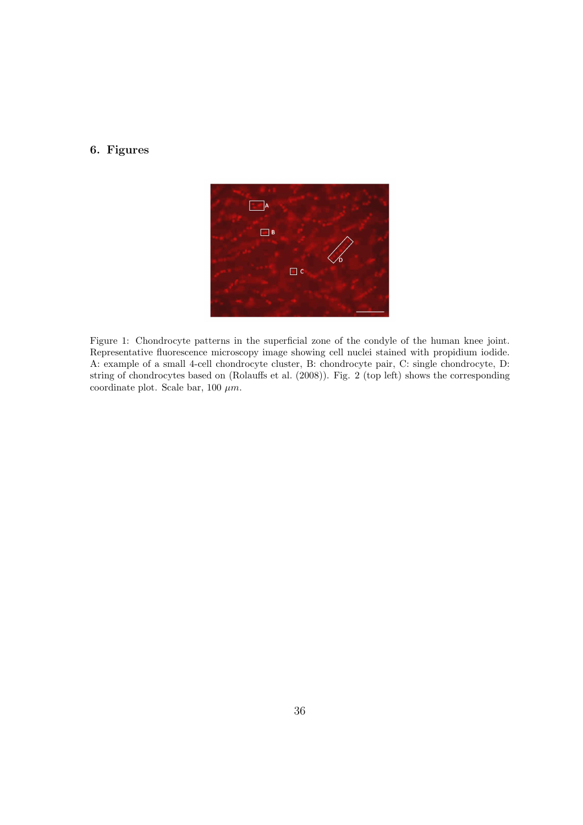## 6. Figures



Figure 1: Chondrocyte patterns in the superficial zone of the condyle of the human knee joint. Representative fluorescence microscopy image showing cell nuclei stained with propidium iodide. A: example of a small 4-cell chondrocyte cluster, B: chondrocyte pair, C: single chondrocyte, D: string of chondrocytes based on (Rolauffs et al. (2008)). Fig. 2 (top left) shows the corresponding coordinate plot. Scale bar, 100  $\mu$ m.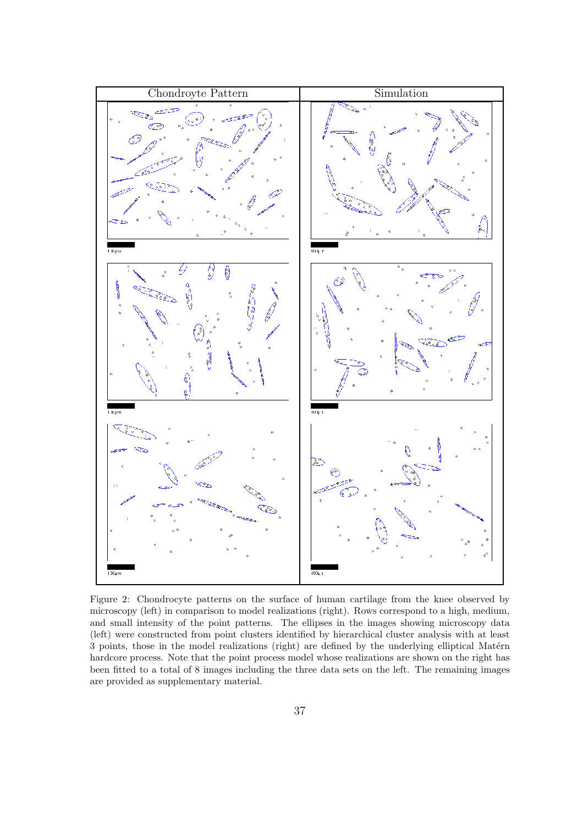

Figure 2: Chondrocyte patterns on the surface of human cartilage from the knee observed by microscopy (left) in comparison to model realizations (right). Rows correspond to a high, medium, and small intensity of the point patterns. The ellipses in the images showing microscopy data (left) were constructed from point clusters identified by hierarchical cluster analysis with at least 3 points, those in the model realizations (right) are defined by the underlying elliptical Matérn hardcore process. Note that the point process model whose realizations are shown on the right has been fitted to a total of 8 images including the three data sets on the left. The remaining images are provided as supplementary material.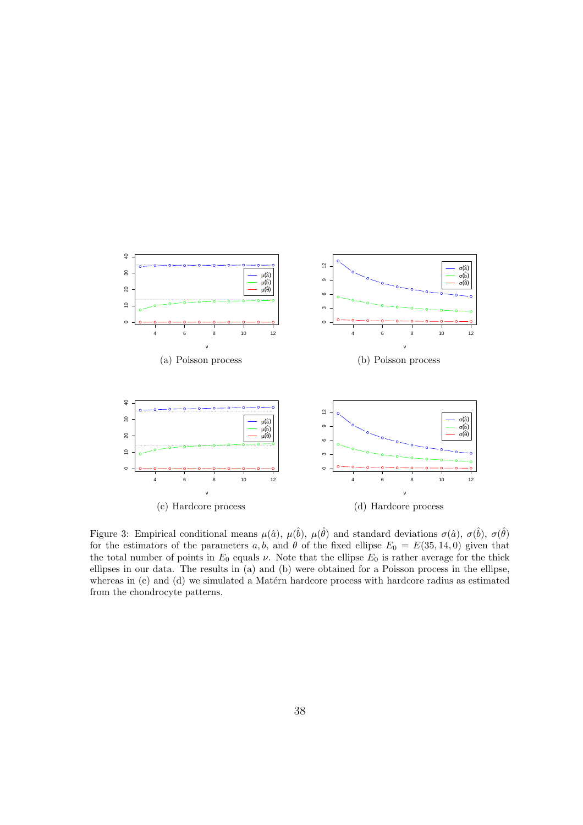

Figure 3: Empirical conditional means  $\mu(\hat{a}), \mu(\hat{b}), \mu(\hat{\theta})$  and standard deviations  $\sigma(\hat{a}), \sigma(\hat{b}), \sigma(\hat{\theta})$ for the estimators of the parameters a, b, and  $\theta$  of the fixed ellipse  $E_0 = E(35, 14, 0)$  given that the total number of points in  $E_0$  equals  $\nu$ . Note that the ellipse  $E_0$  is rather average for the thick ellipses in our data. The results in (a) and (b) were obtained for a Poisson process in the ellipse, whereas in  $(c)$  and  $(d)$  we simulated a Matérn hardcore process with hardcore radius as estimated from the chondrocyte patterns.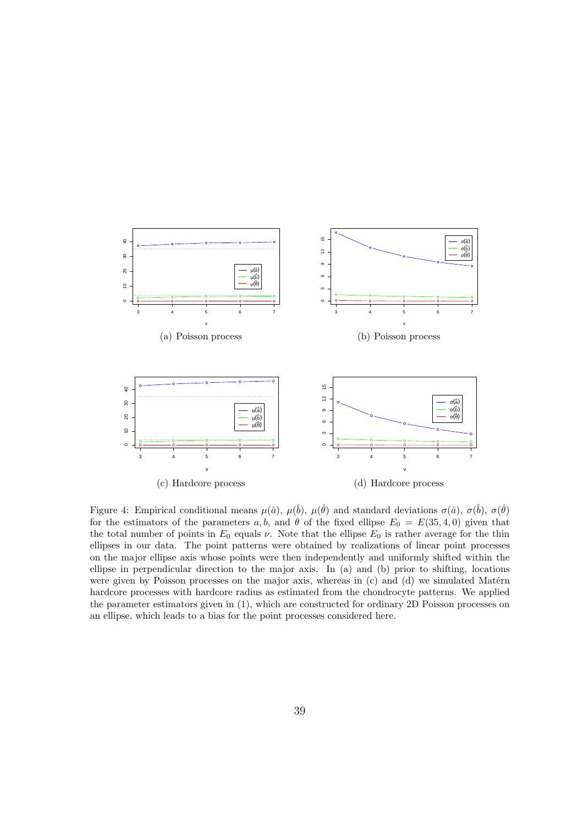

Figure 4: Empirical conditional means  $\mu(\hat{a})$ ,  $\mu(\hat{b})$ ,  $\mu(\hat{\theta})$  and standard deviations  $\sigma(\hat{a})$ ,  $\sigma(\hat{b})$ ,  $\sigma(\hat{\theta})$ for the estimators of the parameters a, b, and  $\theta$  of the fixed ellipse  $E_0 = E(35, 4, 0)$  given that the total number of points in  $E_0$  equals  $\nu$ . Note that the ellipse  $E_0$  is rather average for the thin ellipses in our data. The point patterns were obtained by realizations of linear point processes on the major ellipse axis whose points were then independently and uniformly shifted within the ellipse in perpendicular direction to the major axis. In (a) and (b) prior to shifting, locations were given by Poisson processes on the major axis, whereas in  $(c)$  and  $(d)$  we simulated Matérn hardcore processes with hardcore radius as estimated from the chondrocyte patterns. We applied the parameter estimators given in (1), which are constructed for ordinary 2D Poisson processes on an ellipse, which leads to a bias for the point processes considered here.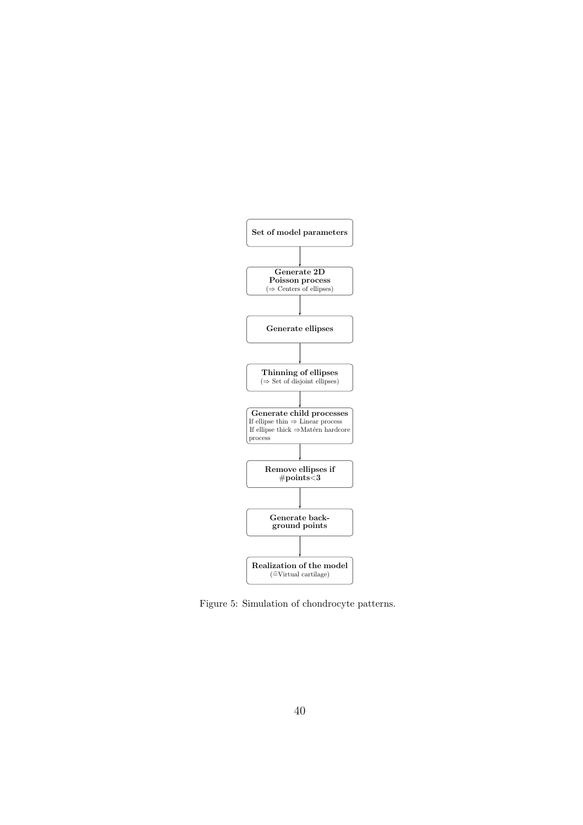

Figure 5: Simulation of chondrocyte patterns.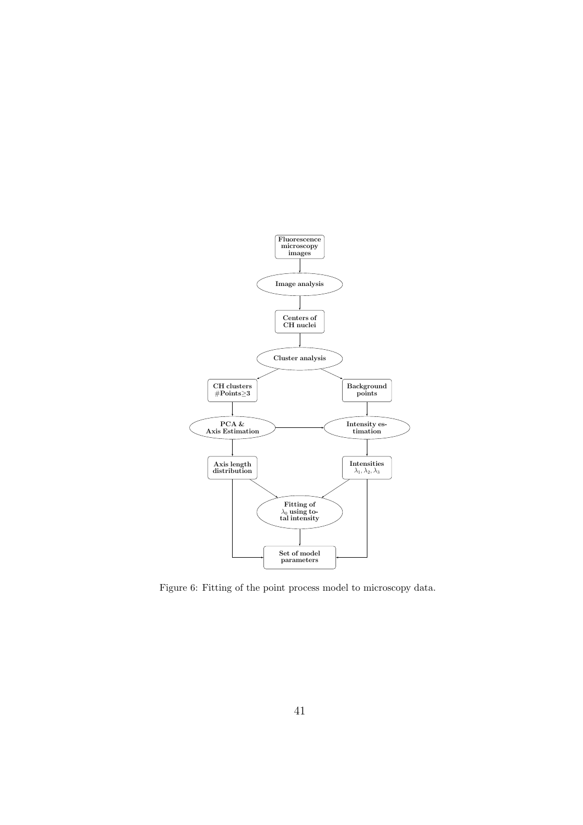

Figure 6: Fitting of the point process model to microscopy data.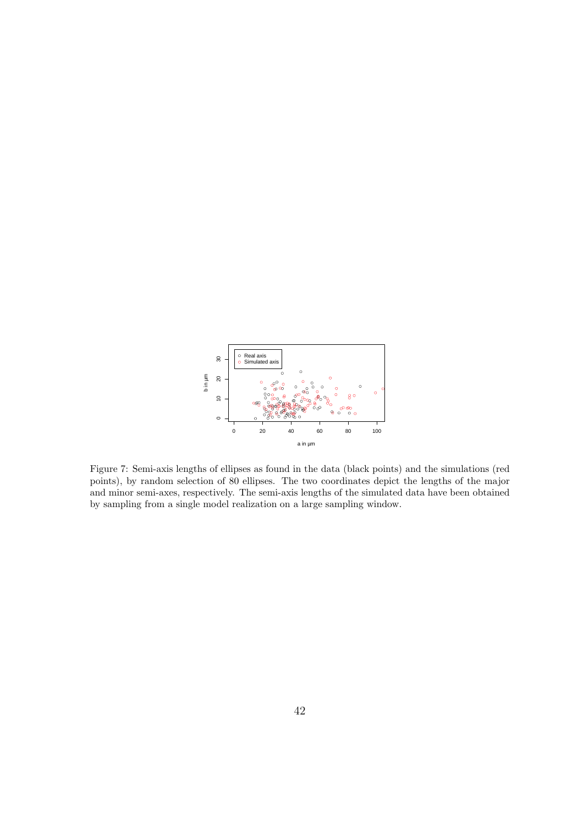

Figure 7: Semi-axis lengths of ellipses as found in the data (black points) and the simulations (red points), by random selection of 80 ellipses. The two coordinates depict the lengths of the major and minor semi-axes, respectively. The semi-axis lengths of the simulated data have been obtained by sampling from a single model realization on a large sampling window.